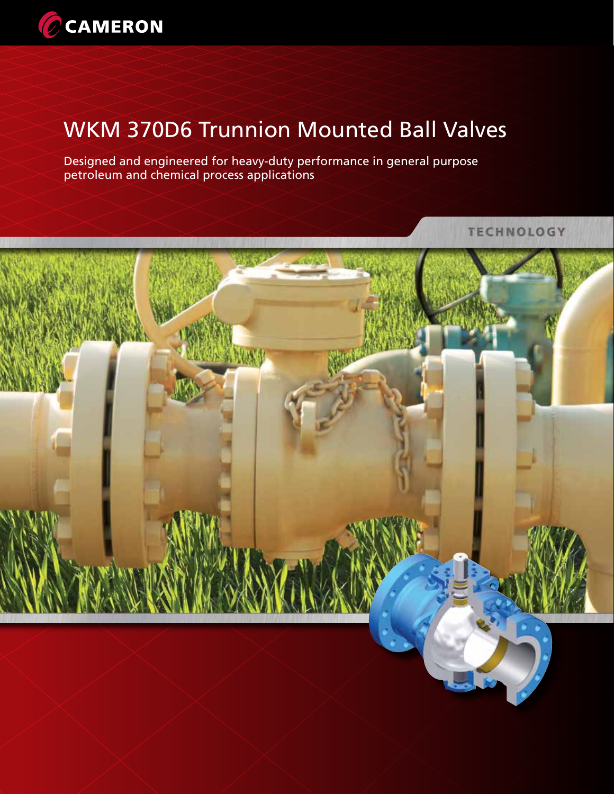

# WKM 370D6 Trunnion Mounted Ball Valves

Designed and engineered for heavy-duty performance in general purpose petroleum and chemical process applications

**TECHNOLOGY** 

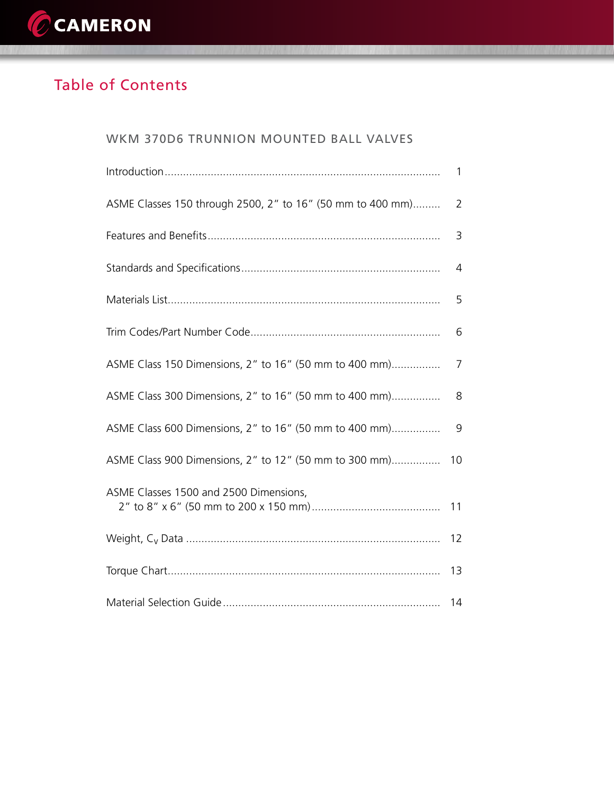

## Table of Contents

| WKM 370D6 TRUNNION MOUNTED BALL VALVES                     |    |
|------------------------------------------------------------|----|
|                                                            | 1  |
| ASME Classes 150 through 2500, 2" to 16" (50 mm to 400 mm) | 2  |
|                                                            | 3  |
|                                                            | 4  |
|                                                            | 5  |
|                                                            | 6  |
| ASME Class 150 Dimensions, 2" to 16" (50 mm to 400 mm)     | 7  |
| ASME Class 300 Dimensions, 2" to 16" (50 mm to 400 mm)     | 8  |
| ASME Class 600 Dimensions, 2" to 16" (50 mm to 400 mm)     | 9  |
| ASME Class 900 Dimensions, 2" to 12" (50 mm to 300 mm)     | 10 |
| ASME Classes 1500 and 2500 Dimensions,                     | 11 |
|                                                            | 12 |
|                                                            | 13 |
|                                                            | 14 |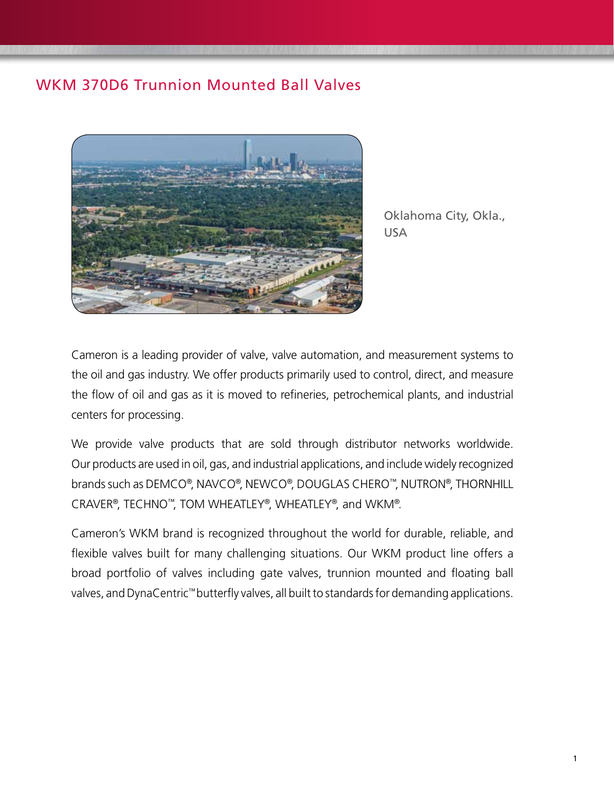## WKM 370D6 Trunnion Mounted Ball Valves



Oklahoma City, Okla., USA

Cameron is a leading provider of valve, valve automation, and measurement systems to the oil and gas industry. We offer products primarily used to control, direct, and measure the flow of oil and gas as it is moved to refineries, petrochemical plants, and industrial centers for processing.

We provide valve products that are sold through distributor networks worldwide. Our products are used in oil, gas, and industrial applications, and include widely recognized brands such as DEMCO®, NAVCO®, NEWCO®, DOUGLAS CHERO™, NUTRON®, THORNHILL CRAVER®, TECHNO™, TOM WHEATLEY®, WHEATLEY®, and WKM®.

Cameron's WKM brand is recognized throughout the world for durable, reliable, and flexible valves built for many challenging situations. Our WKM product line offers a broad portfolio of valves including gate valves, trunnion mounted and floating ball valves, and DynaCentric™ butterfly valves, all built to standards for demanding applications.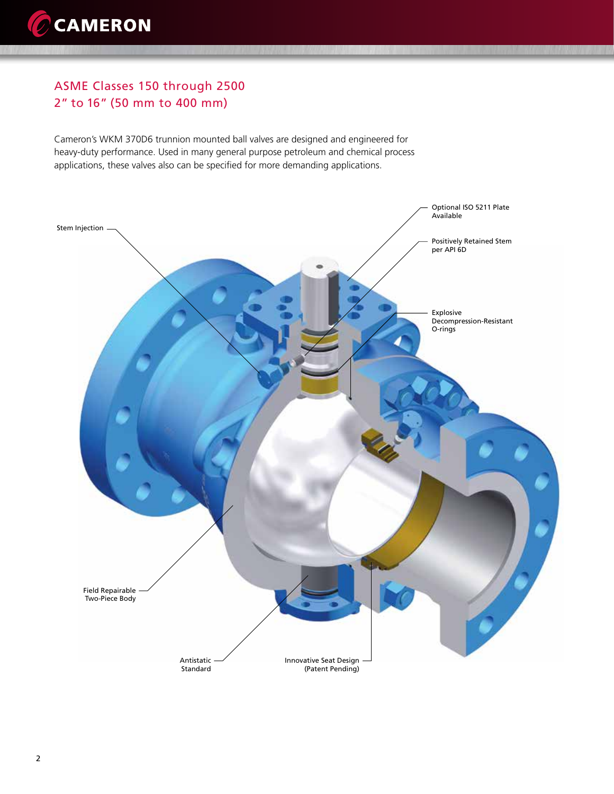### ASME Classes 150 through 2500 2" to 16" (50 mm to 400 mm)

Cameron's WKM 370D6 trunnion mounted ball valves are designed and engineered for heavy-duty performance. Used in many general purpose petroleum and chemical process applications, these valves also can be specified for more demanding applications.

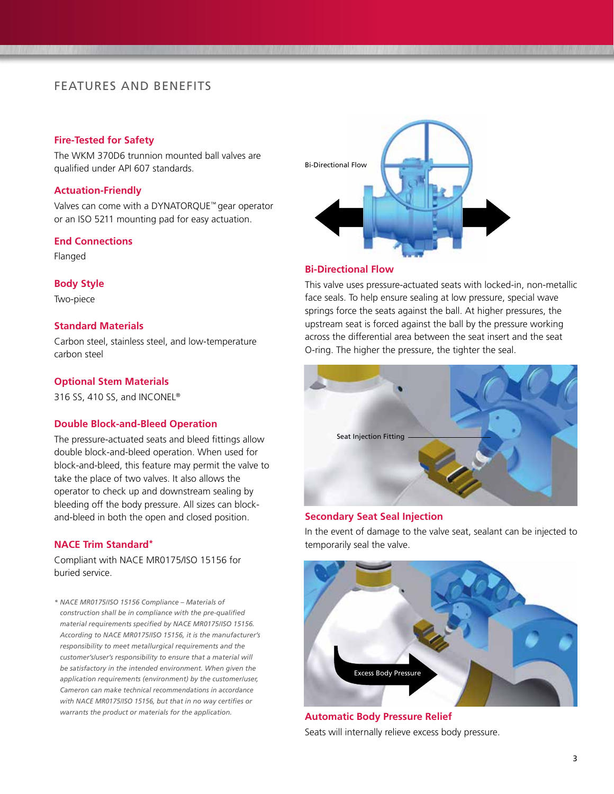### FEATURES AND BENEFITS

#### **Fire-Tested for Safety**

The WKM 370D6 trunnion mounted ball valves are qualified under API 607 standards.

#### **Actuation-Friendly**

Valves can come with a DYNATORQUE™ gear operator or an ISO 5211 mounting pad for easy actuation.

#### **End Connections**

Flanged

#### **Body Style**

Two-piece

#### **Standard Materials**

Carbon steel, stainless steel, and low-temperature carbon steel

#### **Optional Stem Materials**

316 SS, 410 SS, and INCONEL®

#### **Double Block-and-Bleed Operation**

The pressure-actuated seats and bleed fittings allow double block-and-bleed operation. When used for block-and-bleed, this feature may permit the valve to take the place of two valves. It also allows the operator to check up and downstream sealing by bleeding off the body pressure. All sizes can blockand-bleed in both the open and closed position.

#### **NACE Trim Standard\***

Compliant with NACE MR0175/ISO 15156 for buried service.

*\* NACE MR0175/ISO 15156 Compliance – Materials of construction shall be in compliance with the pre-qualified material requirements specified by NACE MR0175/ISO 15156. According to NACE MR0175/ISO 15156, it is the manufacturer's responsibility to meet metallurgical requirements and the customer's/user's responsibility to ensure that a material will be satisfactory in the intended environment. When given the application requirements (environment) by the customer/user, Cameron can make technical recommendations in accordance with NACE MR0175/ISO 15156, but that in no way certifies or warrants the product or materials for the application.*



#### **Bi-Directional Flow**

This valve uses pressure-actuated seats with locked-in, non-metallic face seals. To help ensure sealing at low pressure, special wave springs force the seats against the ball. At higher pressures, the upstream seat is forced against the ball by the pressure working across the differential area between the seat insert and the seat O-ring. The higher the pressure, the tighter the seal.



#### **Secondary Seat Seal Injection**

In the event of damage to the valve seat, sealant can be injected to temporarily seal the valve.



**Automatic Body Pressure Relief** Seats will internally relieve excess body pressure.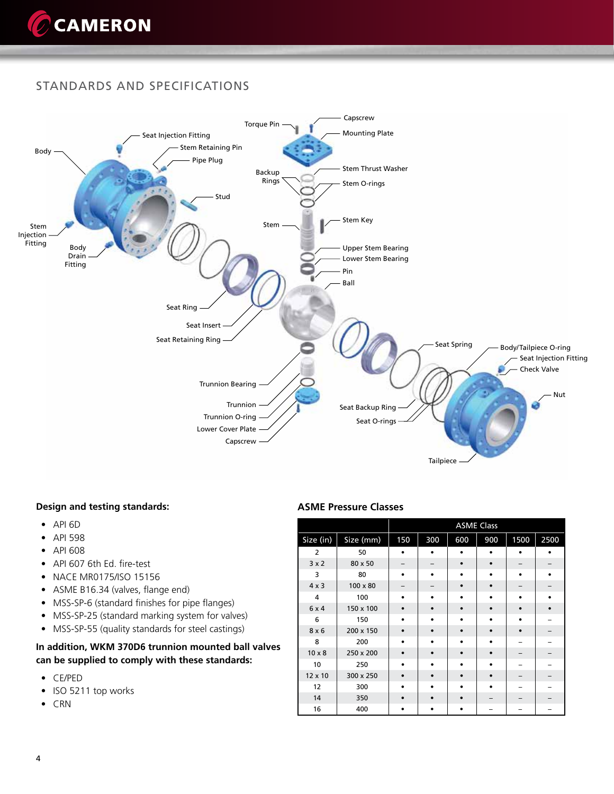

### STANDARDS AND SPECIFICATIONS



#### **Design and testing standards:**

- API 6D
- API 598
- API 608
- API 607 6th Ed. fire-test
- NACE MR0175/ISO 15156
- ASME B16.34 (valves, flange end)
- MSS-SP-6 (standard finishes for pipe flanges)
- MSS-SP-25 (standard marking system for valves)
- MSS-SP-55 (quality standards for steel castings)

#### **In addition, WKM 370D6 trunnion mounted ball valves can be supplied to comply with these standards:**

- CE/PED
- ISO 5211 top works
- CRN

#### **ASME Pressure Classes**

|                |                 |           |     |     | <b>ASME Class</b> |           |      |
|----------------|-----------------|-----------|-----|-----|-------------------|-----------|------|
| Size (in)      | Size (mm)       | 150       | 300 | 600 | 900               | 1500      | 2500 |
| 2              | 50              |           |     |     |                   |           |      |
| 3x2            | 80 x 50         |           |     |     |                   |           |      |
| 3              | 80              | ٠         |     |     |                   |           |      |
| $4 \times 3$   | $100 \times 80$ |           |     |     |                   |           |      |
| $\overline{4}$ | 100             |           |     |     |                   | ٠         |      |
| 6x4            | 150 x 100       | $\bullet$ |     |     |                   | $\bullet$ |      |
| 6              | 150             | $\bullet$ |     |     | ٠                 | ٠         |      |
| $8 \times 6$   | 200 x 150       | ٠         |     |     |                   | $\bullet$ |      |
| 8              | 200             |           |     |     |                   |           |      |
| $10 \times 8$  | 250 x 200       |           |     |     |                   |           |      |
| 10             | 250             | ٠         |     |     |                   |           |      |
| 12 x 10        | 300 x 250       | $\bullet$ |     |     | $\bullet$         |           |      |
| 12             | 300             |           |     |     |                   |           |      |
| 14             | 350             | ٠         |     |     |                   |           |      |
| 16             | 400             | ٠         |     | ٠   |                   |           |      |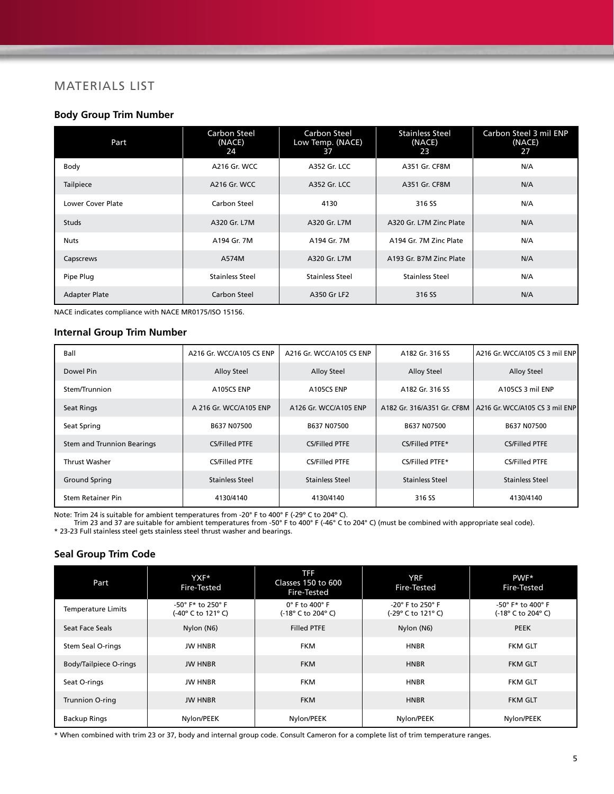### MATERIALS LIST

#### **Body Group Trim Number**

| Part                     | <b>Carbon Steel</b><br>(NACE)<br>24 | Carbon Steel<br>Low Temp. (NACE)<br>37 | <b>Stainless Steel</b><br>(NACE)<br>23 | Carbon Steel 3 mil ENP<br>(NACE)<br>27 |
|--------------------------|-------------------------------------|----------------------------------------|----------------------------------------|----------------------------------------|
| Body                     | A216 Gr. WCC                        | A352 Gr. LCC                           | A351 Gr. CF8M                          | N/A                                    |
| Tailpiece                | A216 Gr. WCC                        | A352 Gr. LCC                           | A351 Gr. CF8M                          | N/A                                    |
| <b>Lower Cover Plate</b> | Carbon Steel                        | 4130                                   | 316 SS                                 | N/A                                    |
| <b>Studs</b>             | A320 Gr. L7M                        | A320 Gr. L7M                           | A320 Gr. L7M Zinc Plate                | N/A                                    |
| Nuts                     | A194 Gr. 7M                         | A194 Gr. 7M                            | A194 Gr. 7M Zinc Plate                 | N/A                                    |
| Capscrews                | A574M                               | A320 Gr. L7M                           | A193 Gr. B7M Zinc Plate                | N/A                                    |
| Pipe Plug                | <b>Stainless Steel</b>              | <b>Stainless Steel</b>                 | <b>Stainless Steel</b>                 | N/A                                    |
| <b>Adapter Plate</b>     | Carbon Steel                        | A350 Gr LF2                            | 316 SS                                 | N/A                                    |

NACE indicates compliance with NACE MR0175/ISO 15156.

#### **Internal Group Trim Number**

| Ball                       | A216 Gr. WCC/A105 CS ENP | A216 Gr. WCC/A105 CS ENP | A182 Gr. 316 SS            | A216 Gr. WCC/A105 CS 3 mil ENP |
|----------------------------|--------------------------|--------------------------|----------------------------|--------------------------------|
| Dowel Pin                  | <b>Alloy Steel</b>       | <b>Alloy Steel</b>       | <b>Alloy Steel</b>         | <b>Alloy Steel</b>             |
| Stem/Trunnion              | A105CS ENP               | A105CS ENP               | A182 Gr. 316 SS            | A105CS 3 mil ENP               |
| Seat Rings                 | A 216 Gr. WCC/A105 ENP   | A126 Gr. WCC/A105 ENP    | A182 Gr. 316/A351 Gr. CF8M | A216 Gr. WCC/A105 CS 3 mil ENP |
| Seat Spring                | B637 N07500              | B637 N07500              | B637 N07500                | B637 N07500                    |
| Stem and Trunnion Bearings | CS/Filled PTFE           | CS/Filled PTFE           | CS/Filled PTFE*            | CS/Filled PTFE                 |
| <b>Thrust Washer</b>       | CS/Filled PTFE           | CS/Filled PTFE           | CS/Filled PTFE*            | CS/Filled PTFE                 |
| <b>Ground Spring</b>       | <b>Stainless Steel</b>   | <b>Stainless Steel</b>   | <b>Stainless Steel</b>     | <b>Stainless Steel</b>         |
| Stem Retainer Pin          | 4130/4140                | 4130/4140                | 316 SS                     | 4130/4140                      |

Note: Trim 24 is suitable for ambient temperatures from -20° F to 400° F (-29º C to 204º C).

Trim 23 and 37 are suitable for ambient temperatures from -50° F to 400° F (-46° C to 204° C) (must be combined with appropriate seal code).

\* 23-23 Full stainless steel gets stainless steel thrust washer and bearings.

#### **Seal Group Trim Code**

| Part                          | YXF*<br>Fire-Tested                     | <b>TFF</b><br>Classes 150 to 600<br>Fire-Tested     | <b>YRF</b><br>Fire-Tested                     | PWF*<br>Fire-Tested                     |
|-------------------------------|-----------------------------------------|-----------------------------------------------------|-----------------------------------------------|-----------------------------------------|
| <b>Temperature Limits</b>     | -50° F* to 250° F<br>(-40° C to 121° C) | $0^\circ$ F to 400 $^\circ$ F<br>(-18° C to 204° C) | $-20^\circ$ F to 250° F<br>(-29° C to 121° C) | -50° F* to 400° F<br>(-18° C to 204° C) |
| Seat Face Seals               | Nylon (N6)                              | <b>Filled PTFE</b>                                  | Nylon (N6)                                    | <b>PEEK</b>                             |
| Stem Seal O-rings             | <b>JW HNBR</b>                          | <b>FKM</b>                                          | <b>HNBR</b>                                   | <b>FKM GLT</b>                          |
| <b>Body/Tailpiece O-rings</b> | <b>JW HNBR</b>                          | <b>FKM</b>                                          | <b>HNBR</b>                                   | <b>FKM GLT</b>                          |
| Seat O-rings                  | <b>JW HNBR</b>                          | <b>FKM</b>                                          | <b>HNBR</b>                                   | <b>FKM GLT</b>                          |
| Trunnion O-ring               | <b>JW HNBR</b>                          | <b>FKM</b>                                          | <b>HNBR</b>                                   | <b>FKM GLT</b>                          |
| <b>Backup Rings</b>           | Nylon/PEEK                              | Nylon/PEEK                                          | Nylon/PEEK                                    | Nylon/PEEK                              |

\* When combined with trim 23 or 37, body and internal group code. Consult Cameron for a complete list of trim temperature ranges.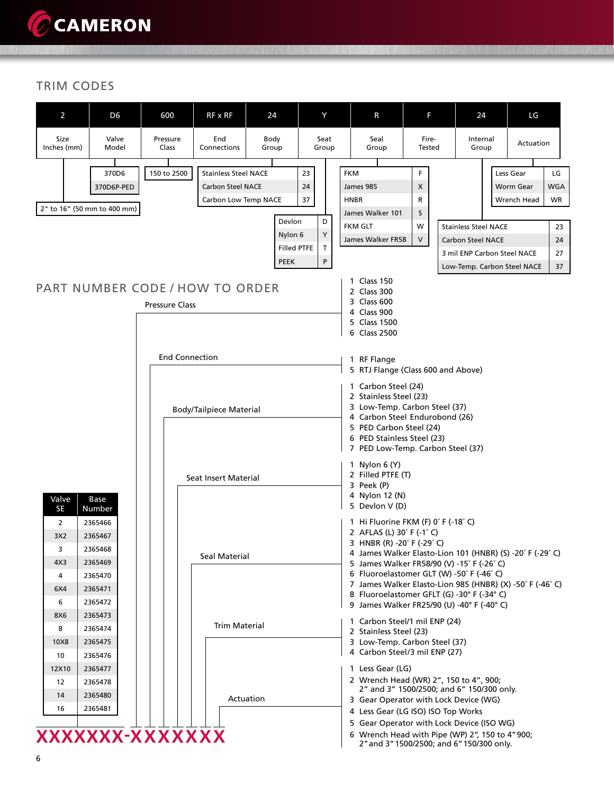### TRIM CODES

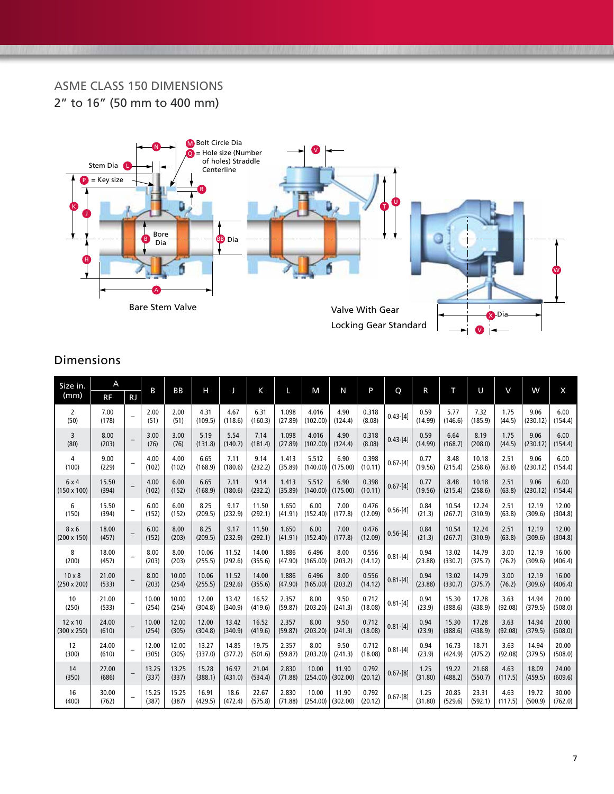### ASME CLASS 150 DIMENSIONS 2" to 16" (50 mm to 400 mm)



| Size in.                            | A              |                          | B              | <b>BB</b>      | н                |                  | Κ                |                  | M                 | N                 | P                |              |                 | т                | U                | V               | W                | $\mathsf{x}$     |
|-------------------------------------|----------------|--------------------------|----------------|----------------|------------------|------------------|------------------|------------------|-------------------|-------------------|------------------|--------------|-----------------|------------------|------------------|-----------------|------------------|------------------|
| (mm)                                | <b>RF</b>      | <b>RJ</b>                |                |                |                  |                  |                  |                  |                   |                   |                  | Q            | R               |                  |                  |                 |                  |                  |
| 2<br>(50)                           | 7.00<br>(178)  | $\equiv$                 | 2.00<br>(51)   | 2.00<br>(51)   | 4.31<br>(109.5)  | 4.67<br>(118.6)  | 6.31<br>(160.3)  | 1.098<br>(27.89) | 4.016<br>(102.00) | 4.90<br>(124.4)   | 0.318<br>(8.08)  | $0.43 - 41$  | 0.59<br>(14.99) | 5.77<br>(146.6)  | 7.32<br>(185.9)  | 1.75<br>(44.5)  | 9.06<br>(230.12) | 6.00<br>(154.4)  |
| 3<br>(80)                           | 8.00<br>(203)  |                          | 3.00<br>(76)   | 3.00<br>(76)   | 5.19<br>(131.8)  | 5.54<br>(140.7)  | 7.14<br>(181.4)  | 1.098<br>(27.89) | 4.016<br>(102.00) | 4.90<br>(124.4)   | 0.318<br>(8.08)  | $0.43 - [4]$ | 0.59<br>(14.99) | 6.64<br>(168.7)  | 8.19<br>(208.0)  | 1.75<br>(44.5)  | 9.06<br>(230.12) | 6.00<br>(154.4)  |
| 4<br>(100)                          | 9.00<br>(229)  | $\qquad \qquad -$        | 4.00<br>(102)  | 4.00<br>(102)  | 6.65<br>(168.9)  | 7.11<br>(180.6)  | 9.14<br>(232.2)  | 1.413<br>(35.89) | 5.512<br>(140.00) | 6.90<br>(175.00)  | 0.398<br>(10.11) | $0.67 - [4]$ | 0.77<br>(19.56) | 8.48<br>(215.4)  | 10.18<br>(258.6) | 2.51<br>(63.8)  | 9.06<br>(230.12) | 6.00<br>(154.4)  |
| 6x4<br>$(150 \times 100)$           | 15.50<br>(394) | $\qquad \qquad -$        | 4.00<br>(102)  | 6.00<br>(152)  | 6.65<br>(168.9)  | 7.11<br>(180.6)  | 9.14<br>(232.2)  | 1.413<br>(35.89) | 5.512<br>(140.00) | 6.90<br>(175.00)  | 0.398<br>(10.11) | $0.67-[4]$   | 0.77<br>(19.56) | 8.48<br>(215.4)  | 10.18<br>(258.6) | 2.51<br>(63.8)  | 9.06<br>(230.12) | 6.00<br>(154.4)  |
| 6<br>(150)                          | 15.50<br>(394) | $\qquad \qquad -$        | 6.00<br>(152)  | 6.00<br>(152)  | 8.25<br>(209.5)  | 9.17<br>(232.9)  | 11.50<br>(292.1) | 1.650<br>(41.91) | 6.00<br>(152.40)  | 7.00<br>(177.8)   | 0.476<br>(12.09) | $0.56 - [4]$ | 0.84<br>(21.3)  | 10.54<br>(267.7) | 12.24<br>(310.9) | 2.51<br>(63.8)  | 12.19<br>(309.6) | 12.00<br>(304.8) |
| 8x6<br>$(200 \times 150)$           | 18.00<br>(457) |                          | 6.00<br>(152)  | 8.00<br>(203)  | 8.25<br>(209.5)  | 9.17<br>(232.9)  | 11.50<br>(292.1) | 1.650<br>(41.91) | 6.00<br>(152.40)  | 7.00<br>(177.8)   | 0.476<br>(12.09) | $0.56 - [4]$ | 0.84<br>(21.3)  | 10.54<br>(267.7) | 12.24<br>(310.9) | 2.51<br>(63.8)  | 12.19<br>(309.6) | 12.00<br>(304.8) |
| 8<br>(200)                          | 18.00<br>(457) | ÷                        | 8.00<br>(203)  | 8.00<br>(203)  | 10.06<br>(255.5) | 11.52<br>(292.6) | 14.00<br>(355.6) | 1.886<br>(47.90) | 6.496<br>(165.00) | 8.00<br>(203.2)   | 0.556<br>(14.12) | $0.81 - [4]$ | 0.94<br>(23.88) | 13.02<br>(330.7) | 14.79<br>(375.7) | 3.00<br>(76.2)  | 12.19<br>(309.6) | 16.00<br>(406.4) |
| $10 \times 8$<br>$(250 \times 200)$ | 21.00<br>(533) | ۰                        | 8.00<br>(203)  | 10.00<br>(254) | 10.06<br>(255.5) | 11.52<br>(292.6) | 14.00<br>(355.6) | 1.886<br>(47.90) | 6.496<br>(165.00) | 8.00<br>(203.2)   | 0.556<br>(14.12) | $0.81 - [4]$ | 0.94<br>(23.88) | 13.02<br>(330.7) | 14.79<br>(375.7) | 3.00<br>(76.2)  | 12.19<br>(309.6) | 16.00<br>(406.4) |
| 10<br>(250)                         | 21.00<br>(533) | $\equiv$                 | 10.00<br>(254) | 10.00<br>(254) | 12.00<br>(304.8) | 13.42<br>(340.9) | 16.52<br>(419.6) | 2.357<br>(59.87) | 8.00<br>(203.20)  | 9.50<br>(241.3)   | 0.712<br>(18.08) | $0.81 - [4]$ | 0.94<br>(23.9)  | 15.30<br>(388.6) | 17.28<br>(438.9) | 3.63<br>(92.08) | 14.94<br>(379.5) | 20.00<br>(508.0) |
| 12 x 10<br>$(300 \times 250)$       | 24.00<br>(610) |                          | 10.00<br>(254) | 12.00<br>(305) | 12.00<br>(304.8) | 13.42<br>(340.9) | 16.52<br>(419.6) | 2.357<br>(59.87) | 8.00<br>(203.20)  | 9.50<br>(241.3)   | 0.712<br>(18.08) | $0.81 - [4]$ | 0.94<br>(23.9)  | 15.30<br>(388.6) | 17.28<br>(438.9) | 3.63<br>(92.08) | 14.94<br>(379.5) | 20.00<br>(508.0) |
| 12<br>(300)                         | 24.00<br>(610) | $\overline{\phantom{a}}$ | 12.00<br>(305) | 12.00<br>(305) | 13.27<br>(337.0) | 14.85<br>(377.2) | 19.75<br>(501.6) | 2.357<br>(59.87) | 8.00<br>(203.20)  | 9.50<br>(241.3)   | 0.712<br>(18.08) | $0.81 - [4]$ | 0.94<br>(23.9)  | 16.73<br>(424.9) | 18.71<br>(475.2) | 3.63<br>(92.08) | 14.94<br>(379.5) | 20.00<br>(508.0) |
| 14<br>(350)                         | 27.00<br>(686) |                          | 13.25<br>(337) | 13.25<br>(337) | 15.28<br>(388.1) | 16.97<br>(431.0) | 21.04<br>(534.4) | 2.830<br>(71.88) | 10.00<br>(254.00) | 11.90<br>(302.00) | 0.792<br>(20.12) | $0.67 - [8]$ | 1.25<br>(31.80) | 19.22<br>(488.2) | 21.68<br>(550.7) | 4.63<br>(117.5) | 18.09<br>(459.5) | 24.00<br>(609.6) |
| 16<br>(400)                         | 30.00<br>(762) |                          | 15.25<br>(387) | 15.25<br>(387) | 16.91<br>(429.5) | 18.6<br>(472.4)  | 22.67<br>(575.8) | 2.830<br>(71.88) | 10.00<br>(254.00) | 11.90<br>(302.00) | 0.792<br>(20.12) | $0.67 - [8]$ | 1.25<br>(31.80) | 20.85<br>(529.6) | 23.31<br>(592.1) | 4.63<br>(117.5) | 19.72<br>(500.9) | 30.00<br>(762.0) |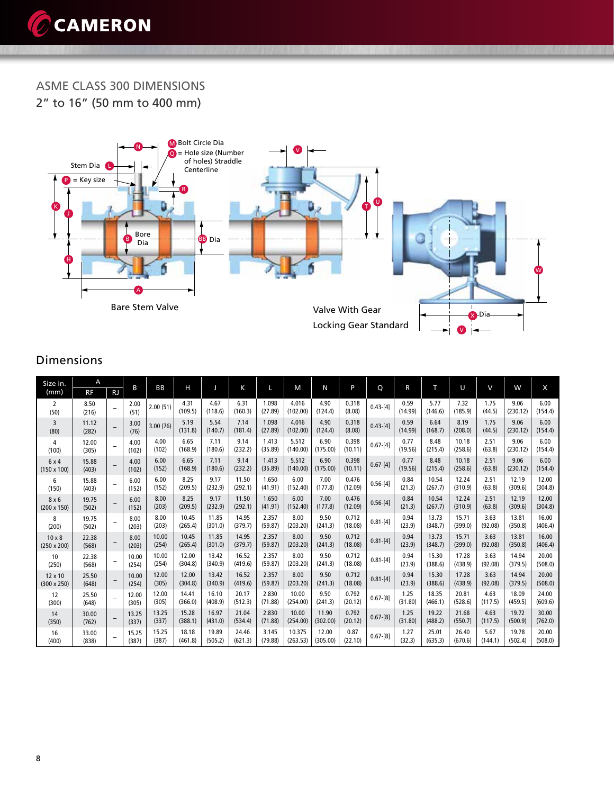

ASME CLASS 300 DIMENSIONS 2" to 16" (50 mm to 400 mm)



| Size in.                            | A              |                          |                |                |                  |                  |                  |                  |                    |                   |                  |              |                 |                  |                  | $\vee$          |                  |                  |
|-------------------------------------|----------------|--------------------------|----------------|----------------|------------------|------------------|------------------|------------------|--------------------|-------------------|------------------|--------------|-----------------|------------------|------------------|-----------------|------------------|------------------|
| (mm)                                | <b>RF</b>      | <b>RJ</b>                | B              | BB             | н                |                  | K                |                  | M                  | N                 | P                | Q            | R               | т                | U                |                 | W                | X                |
| 2<br>(50)                           | 8.50<br>(216)  |                          | 2.00<br>(51)   | 2.00(51)       | 4.31<br>(109.5)  | 4.67<br>(118.6)  | 6.31<br>(160.3)  | 1.098<br>(27.89) | 4.016<br>(102.00)  | 4.90<br>(124.4)   | 0.318<br>(8.08)  | $0.43 - [4]$ | 0.59<br>(14.99) | 5.77<br>(146.6)  | 7.32<br>(185.9)  | 1.75<br>(44.5)  | 9.06<br>(230.12) | 6.00<br>(154.4)  |
| 3<br>(80)                           | 11.12<br>(282) | ۰                        | 3.00<br>(76)   | 3.00(76)       | 5.19<br>(131.8)  | 5.54<br>(140.7)  | 7.14<br>(181.4)  | 1.098<br>(27.89) | 4.016<br>(102.00)  | 4.90<br>(124.4)   | 0.318<br>(8.08)  | $0.43 - 41$  | 0.59<br>(14.99) | 6.64<br>(168.7)  | 8.19<br>(208.0)  | 1.75<br>(44.5)  | 9.06<br>(230.12) | 6.00<br>(154.4)  |
| 4<br>(100)                          | 12.00<br>(305) | $\overline{\phantom{0}}$ | 4.00<br>(102)  | 4.00<br>(102)  | 6.65<br>(168.9)  | 7.11<br>(180.6)  | 9.14<br>(232.2)  | 1.413<br>(35.89) | 5.512<br>(140.00)  | 6.90<br>(175.00)  | 0.398<br>(10.11) | $0.67 - [4]$ | 0.77<br>(19.56) | 8.48<br>(215.4)  | 10.18<br>(258.6) | 2.51<br>(63.8)  | 9.06<br>(230.12) | 6.00<br>(154.4)  |
| 6x4<br>$(150 \times 100)$           | 15.88<br>(403) |                          | 4.00<br>(102)  | 6.00<br>(152)  | 6.65<br>(168.9)  | 7.11<br>(180.6)  | 9.14<br>(232.2)  | 1.413<br>(35.89) | 5.512<br>(140.00)  | 6.90<br>(175.00)  | 0.398<br>(10.11) | $0.67 - [4]$ | 0.77<br>(19.56) | 8.48<br>(215.4)  | 10.18<br>(258.6) | 2.51<br>(63.8)  | 9.06<br>(230.12) | 6.00<br>(154.4)  |
| 6<br>(150)                          | 15.88<br>(403) | $\overline{\phantom{0}}$ | 6.00<br>(152)  | 6.00<br>(152)  | 8.25<br>(209.5)  | 9.17<br>(232.9)  | 11.50<br>(292.1) | 1.650<br>(41.91) | 6.00<br>(152.40)   | 7.00<br>(177.8)   | 0.476<br>(12.09) | $0.56 - [4]$ | 0.84<br>(21.3)  | 10.54<br>(267.7) | 12.24<br>(310.9) | 2.51<br>(63.8)  | 12.19<br>(309.6) | 12.00<br>(304.8) |
| 8x6<br>$(200 \times 150)$           | 19.75<br>(502) | $\overline{\phantom{m}}$ | 6.00<br>(152)  | 8.00<br>(203)  | 8.25<br>(209.5)  | 9.17<br>(232.9)  | 11.50<br>(292.1) | 1.650<br>(41.91) | 6.00<br>(152.40)   | 7.00<br>(177.8)   | 0.476<br>(12.09) | $0.56 - [4]$ | 0.84<br>(21.3)  | 10.54<br>(267.7) | 12.24<br>(310.9) | 2.51<br>(63.8)  | 12.19<br>(309.6) | 12.00<br>(304.8) |
| 8<br>(200)                          | 19.75<br>(502) | $\overline{\phantom{a}}$ | 8.00<br>(203)  | 8.00<br>(203)  | 10.45<br>(265.4) | 11.85<br>(301.0) | 14.95<br>(379.7) | 2.357<br>(59.87) | 8.00<br>(203.20)   | 9.50<br>(241.3)   | 0.712<br>(18.08) | $0.81 - [4]$ | 0.94<br>(23.9)  | 13.73<br>(348.7) | 15.71<br>(399.0) | 3.63<br>(92.08) | 13.81<br>(350.8) | 16.00<br>(406.4) |
| $10 \times 8$<br>$(250 \times 200)$ | 22.38<br>(568) | $\overline{\phantom{0}}$ | 8.00<br>(203)  | 10.00<br>(254) | 10.45<br>(265.4) | 11.85<br>(301.0) | 14.95<br>(379.7) | 2.357<br>(59.87) | 8.00<br>(203.20)   | 9.50<br>(241.3)   | 0.712<br>(18.08) | $0.81 - [4]$ | 0.94<br>(23.9)  | 13.73<br>(348.7) | 15.71<br>(399.0) | 3.63<br>(92.08) | 13.81<br>(350.8) | 16.00<br>(406.4) |
| 10<br>(250)                         | 22.38<br>(568) | $\overline{\phantom{a}}$ | 10.00<br>(254) | 10.00<br>(254) | 12.00<br>(304.8) | 13.42<br>(340.9) | 16.52<br>(419.6) | 2.357<br>(59.87) | 8.00<br>(203.20)   | 9.50<br>(241.3)   | 0.712<br>(18.08) | $0.81 - [4]$ | 0.94<br>(23.9)  | 15.30<br>(388.6) | 17.28<br>(438.9) | 3.63<br>(92.08) | 14.94<br>(379.5) | 20.00<br>(508.0) |
| 12 x 10<br>$(300 \times 250)$       | 25.50<br>(648) |                          | 10.00<br>(254) | 12.00<br>(305) | 12.00<br>(304.8) | 13.42<br>(340.9) | 16.52<br>(419.6) | 2.357<br>(59.87) | 8.00<br>(203.20)   | 9.50<br>(241.3)   | 0.712<br>(18.08) | $0.81 - [4]$ | 0.94<br>(23.9)  | 15.30<br>(388.6) | 17.28<br>(438.9) | 3.63<br>(92.08) | 14.94<br>(379.5) | 20.00<br>(508.0) |
| 12<br>(300)                         | 25.50<br>(648) | ۰                        | 12.00<br>(305) | 12.00<br>(305) | 14.41<br>(366.0) | 16.10<br>(408.9) | 20.17<br>(512.3) | 2.830<br>(71.88) | 10.00<br>(254.00)  | 9.50<br>(241.3)   | 0.792<br>(20.12) | $0.67 - [8]$ | 1.25<br>(31.80) | 18.35<br>(466.1) | 20.81<br>(528.6) | 4.63<br>(117.5) | 18.09<br>(459.5) | 24.00<br>(609.6) |
| 14<br>(350)                         | 30.00<br>(762) | $\overline{\phantom{0}}$ | 13.25<br>(337) | 13.25<br>(337) | 15.28<br>(388.1) | 16.97<br>(431.0) | 21.04<br>(534.4) | 2.830<br>(71.88) | 10.00<br>(254.00)  | 11.90<br>(302.00) | 0.792<br>(20.12) | $0.67 - [8]$ | 1.25<br>(31.80) | 19.22<br>(488.2) | 21.68<br>(550.7) | 4.63<br>(117.5) | 19.72<br>(500.9) | 30.00<br>(762.0) |
| 16<br>(400)                         | 33.00<br>(838) | ۰                        | 15.25<br>(387) | 15.25<br>(387) | 18.18<br>(461.8) | 19.89<br>(505.2) | 24.46<br>(621.3) | 3.145<br>(79.88) | 10.375<br>(263.53) | 12.00<br>(305.00) | 0.87<br>(22.10)  | $0.67 - [8]$ | 1.27<br>(32.3)  | 25.01<br>(635.3) | 26.40<br>(670.6) | 5.67<br>(144.1) | 19.78<br>(502.4) | 20.00<br>(508.0) |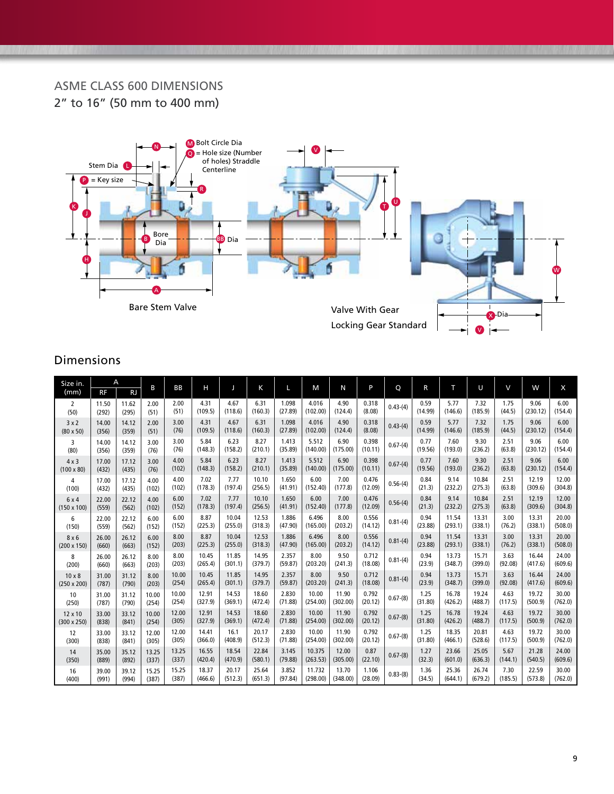### ASME CLASS 600 DIMENSIONS 2" to 16" (50 mm to 400 mm)



| Size in.<br>(mm)   | A<br><b>RF</b> | <b>RJ</b> | B     | BB    | н       |         | K       | L       | M        | N        | P       | Q          | R       | т       | U       | V       | W        | X       |
|--------------------|----------------|-----------|-------|-------|---------|---------|---------|---------|----------|----------|---------|------------|---------|---------|---------|---------|----------|---------|
| 2                  | 11.50          | 11.62     | 2.00  | 2.00  | 4.31    | 4.67    | 6.31    | 1.098   | 4.016    | 4.90     | 0.318   | $0.43-(4)$ | 0.59    | 5.77    | 7.32    | 1.75    | 9.06     | 6.00    |
| (50)               | (292)          | (295)     | (51)  | (51)  | (109.5) | (118.6) | (160.3) | (27.89) | (102.00) | (124.4)  | (8.08)  |            | (14.99) | (146.6) | (185.9) | (44.5)  | (230.12) | (154.4) |
| 3x2                | 14.00          | 14.12     | 2.00  | 3.00  | 4.31    | 4.67    | 6.31    | 1.098   | 4.016    | 4.90     | 0.318   | $0.43-(4)$ | 0.59    | 5.77    | 7.32    | 1.75    | 9.06     | 6.00    |
| $(80 \times 50)$   | (356)          | (359)     | (51)  | (76)  | (109.5) | (118.6) | (160.3) | (27.89) | (102.00) | (124.4)  | (8.08)  |            | (14.99) | (146.6) | (185.9) | (44.5)  | (230.12) | (154.4) |
| 3                  | 14.00          | 14.12     | 3.00  | 3.00  | 5.84    | 6.23    | 8.27    | 1.413   | 5.512    | 6.90     | 0.398   | $0.67-(4)$ | 0.77    | 7.60    | 9.30    | 2.51    | 9.06     | 6.00    |
| (80)               | (356)          | (359)     | (76)  | (76)  | (148.3) | (158.2) | (210.1) | (35.89) | (140.00) | (175.00) | (10.11) |            | (19.56) | (193.0) | (236.2) | (63.8)  | (230.12) | (154.4) |
| $4 \times 3$       | 17.00          | 17.12     | 3.00  | 4.00  | 5.84    | 6.23    | 8.27    | 1.413   | 5.512    | 6.90     | 0.398   | $0.67-(4)$ | 0.77    | 7.60    | 9.30    | 2.51    | 9.06     | 6.00    |
| $(100 \times 80)$  | (432)          | (435)     | (76)  | (102) | (148.3) | (158.2) | (210.1) | (35.89) | (140.00) | (175.00) | (10.11) |            | (19.56) | (193.0) | (236.2) | (63.8)  | (230.12) | (154.4) |
| 4                  | 17.00          | 17.12     | 4.00  | 4.00  | 7.02    | 7.77    | 10.10   | 1.650   | 6.00     | 7.00     | 0.476   | $0.56-(4)$ | 0.84    | 9.14    | 10.84   | 2.51    | 12.19    | 12.00   |
| (100)              | (432)          | (435)     | (102) | (102) | (178.3) | (197.4) | (256.5) | (41.91) | (152.40) | (177.8)  | (12.09) |            | (21.3)  | (232.2) | (275.3) | (63.8)  | (309.6)  | (304.8) |
| 6 x 4              | 22.00          | 22.12     | 4.00  | 6.00  | 7.02    | 7.77    | 10.10   | 1.650   | 6.00     | 7.00     | 0.476   | $0.56-(4)$ | 0.84    | 9.14    | 10.84   | 2.51    | 12.19    | 12.00   |
| $(150 \times 100)$ | (559)          | (562)     | (102) | (152) | (178.3) | (197.4) | (256.5) | (41.91) | (152.40) | (177.8)  | (12.09) |            | (21.3)  | (232.2) | (275.3) | (63.8)  | (309.6)  | (304.8) |
| 6                  | 22.00          | 22.12     | 6.00  | 6.00  | 8.87    | 10.04   | 12.53   | 1.886   | 6.496    | 8.00     | 0.556   | $0.81-(4)$ | 0.94    | 11.54   | 13.31   | 3.00    | 13.31    | 20.00   |
| (150)              | (559)          | (562)     | (152) | (152) | (225.3) | (255.0) | (318.3) | (47.90) | (165.00) | (203.2)  | (14.12) |            | (23.88) | (293.1) | (338.1) | (76.2)  | (338.1)  | (508.0) |
| 8x6                | 26.00          | 26.12     | 6.00  | 8.00  | 8.87    | 10.04   | 12.53   | 1.886   | 6.496    | 8.00     | 0.556   | $0.81-(4)$ | 0.94    | 11.54   | 13.31   | 3.00    | 13.31    | 20.00   |
| $(200 \times 150)$ | (660)          | (663)     | (152) | (203) | (225.3) | (255.0) | (318.3) | (47.90) | (165.00) | (203.2)  | (14.12) |            | (23.88) | (293.1) | (338.1) | (76.2)  | (338.1)  | (508.0) |
| 8                  | 26.00          | 26.12     | 8.00  | 8.00  | 10.45   | 11.85   | 14.95   | 2.357   | 8.00     | 9.50     | 0.712   | $0.81-(4)$ | 0.94    | 13.73   | 15.71   | 3.63    | 16.44    | 24.00   |
| (200)              | (660)          | (663)     | (203) | (203) | (265.4) | (301.1) | (379.7) | (59.87) | (203.20) | (241.3)  | (18.08) |            | (23.9)  | (348.7) | (399.0) | (92.08) | (417.6)  | (609.6) |
| $10 \times 8$      | 31.00          | 31.12     | 8.00  | 10.00 | 10.45   | 11.85   | 14.95   | 2.357   | 8.00     | 9.50     | 0.712   | $0.81-(4)$ | 0.94    | 13.73   | 15.71   | 3.63    | 16.44    | 24.00   |
| $(250 \times 200)$ | (787)          | (790)     | (203) | (254) | (265.4) | (301.1) | (379.7) | (59.87) | (203.20) | (241.3)  | (18.08) |            | (23.9)  | (348.7) | (399.0) | (92.08) | (417.6)  | (609.6) |
| 10                 | 31.00          | 31.12     | 10.00 | 10.00 | 12.91   | 14.53   | 18.60   | 2.830   | 10.00    | 11.90    | 0.792   | $0.67-(8)$ | 1.25    | 16.78   | 19.24   | 4.63    | 19.72    | 30.00   |
| (250)              | (787)          | (790)     | (254) | (254) | (327.9) | (369.1) | (472.4) | (71.88) | (254.00) | (302.00) | (20.12) |            | (31.80) | (426.2) | (488.7) | (117.5) | (500.9)  | (762.0) |
| 12 x 10            | 33.00          | 33.12     | 10.00 | 12.00 | 12.91   | 14.53   | 18.60   | 2.830   | 10.00    | 11.90    | 0.792   | $0.67-(8)$ | 1.25    | 16.78   | 19.24   | 4.63    | 19.72    | 30.00   |
| $(300 \times 250)$ | (838)          | (841)     | (254) | (305) | (327.9) | (369.1) | (472.4) | (71.88) | (254.00) | (302.00) | (20.12) |            | (31.80) | (426.2) | (488.7) | (117.5) | (500.9)  | (762.0) |
| 12                 | 33.00          | 33.12     | 12.00 | 12.00 | 14.41   | 16.1    | 20.17   | 2.830   | 10.00    | 11.90    | 0.792   | $0.67-(8)$ | 1.25    | 18.35   | 20.81   | 4.63    | 19.72    | 30.00   |
| (300)              | (838)          | (841)     | (305) | (305) | (366.0) | (408.9) | (512.3) | (71.88) | (254.00) | (302.00) | (20.12) |            | (31.80) | (466.1) | (528.6) | (117.5) | (500.9)  | (762.0) |
| 14                 | 35.00          | 35.12     | 13.25 | 13.25 | 16.55   | 18.54   | 22.84   | 3.145   | 10.375   | 12.00    | 0.87    | $0.67-(8)$ | 1.27    | 23.66   | 25.05   | 5.67    | 21.28    | 24.00   |
| (350)              | (889)          | (892)     | (337) | (337) | (420.4) | (470.9) | (580.1) | (79.88) | (263.53) | (305.00) | (22.10) |            | (32.3)  | (601.0) | (636.3) | (144.1) | (540.5)  | (609.6) |
| 16                 | 39.00          | 39.12     | 15.25 | 15.25 | 18.37   | 20.17   | 25.64   | 3.852   | 11.732   | 13.70    | 1.106   | $0.83-(8)$ | 1.36    | 25.36   | 26.74   | 7.30    | 22.59    | 30.00   |
| (400)              | (991)          | (994)     | (387) | (387) | (466.6) | (512.3) | (651.3) | (97.84) | (298.00) | (348.00) | (28.09) |            | (34.5)  | (644.1) | (679.2) | (185.5) | (573.8)  | (762.0) |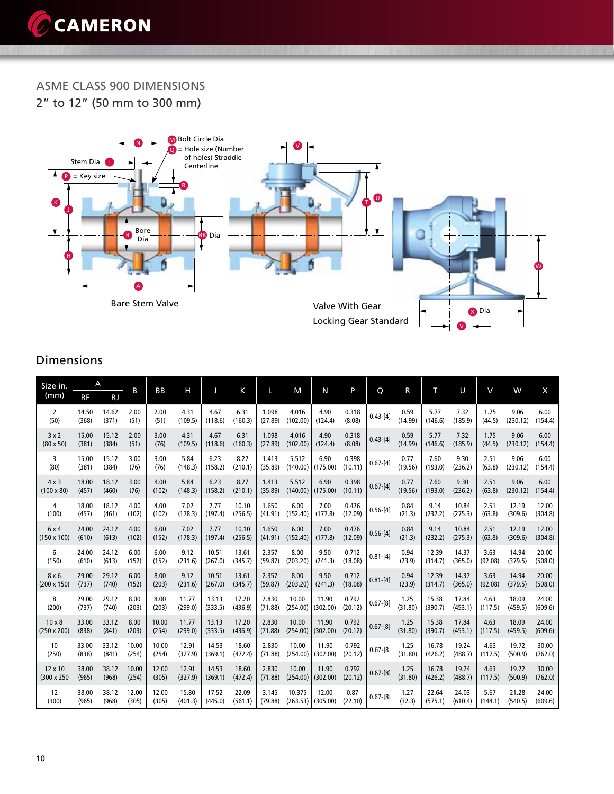

ASME CLASS 900 DIMENSIONS 2" to 12" (50 mm to 300 mm)



| Size in.           |           | A         | B     | <b>BB</b> | Н       |         |         |         |          | N        | P       |              |         | т       | U       | $\vee$  | W        | X       |
|--------------------|-----------|-----------|-------|-----------|---------|---------|---------|---------|----------|----------|---------|--------------|---------|---------|---------|---------|----------|---------|
| (mm)               | <b>RF</b> | <b>RJ</b> |       |           |         |         | K       |         | M        |          |         | Q            | R       |         |         |         |          |         |
| 2                  | 14.50     | 14.62     | 2.00  | 2.00      | 4.31    | 4.67    | 6.31    | 1.098   | 4.016    | 4.90     | 0.318   | $0.43 - 41$  | 0.59    | 5.77    | 7.32    | 1.75    | 9.06     | 6.00    |
| (50)               | (368)     | (371)     | (51)  | (51)      | (109.5) | (118.6) | (160.3) | (27.89) | (102.00) | (124.4)  | (8.08)  |              | (14.99) | (146.6) | (185.9) | (44.5)  | (230.12) | (154.4) |
| 3x2                | 15.00     | 15.12     | 2.00  | 3.00      | 4.31    | 4.67    | 6.31    | 1.098   | 4.016    | 4.90     | 0.318   | $0.43 - 41$  | 0.59    | 5.77    | 7.32    | 1.75    | 9.06     | 6.00    |
| $(80 \times 50)$   | (381)     | (384)     | (51)  | (76)      | (109.5) | (118.6) | (160.3) | (27.89) | (102.00) | (124.4)  | (8.08)  |              | (14.99) | (146.6) | (185.9) | (44.5)  | (230.12) | (154.4) |
| 3                  | 15.00     | 15.12     | 3.00  | 3.00      | 5.84    | 6.23    | 8.27    | 1.413   | 5.512    | 6.90     | 0.398   | $0.67 - [4]$ | 0.77    | 7.60    | 9.30    | 2.51    | 9.06     | 6.00    |
| (80)               | (381)     | (384)     | (76)  | (76)      | (148.3) | (158.2) | (210.1) | (35.89) | (140.00) | (175.00) | (10.11) |              | (19.56) | (193.0) | (236.2) | (63.8)  | (230.12) | (154.4) |
| $4 \times 3$       | 18.00     | 18.12     | 3.00  | 4.00      | 5.84    | 6.23    | 8.27    | 1.413   | 5.512    | 6.90     | 0.398   | $0.67 - [4]$ | 0.77    | 7.60    | 9.30    | 2.51    | 9.06     | 6.00    |
| $(100 \times 80)$  | (457)     | (460)     | (76)  | (102)     | (148.3) | (158.2) | (210.1) | (35.89) | (140.00) | (175.00) | (10.11) |              | (19.56) | (193.0) | (236.2) | (63.8)  | (230.12) | (154.4) |
| 4                  | 18.00     | 18.12     | 4.00  | 4.00      | 7.02    | 7.77    | 10.10   | 1.650   | 6.00     | 7.00     | 0.476   | $0.56 - 4$   | 0.84    | 9.14    | 10.84   | 2.51    | 12.19    | 12.00   |
| (100)              | (457)     | (461)     | (102) | (102)     | (178.3) | (197.4) | (256.5) | (41.91) | (152.40) | (177.8)  | (12.09) |              | (21.3)  | (232.2) | (275.3) | (63.8)  | (309.6)  | (304.8) |
| 6x4                | 24.00     | 24.12     | 4.00  | 6.00      | 7.02    | 7.77    | 10.10   | 1.650   | 6.00     | 7.00     | 0.476   | $0.56 - [4]$ | 0.84    | 9.14    | 10.84   | 2.51    | 12.19    | 12.00   |
| $(150 \times 100)$ | (610)     | (613)     | (102) | (152)     | (178.3) | (197.4) | (256.5) | (41.91) | (152.40) | (177.8)  | (12.09) |              | (21.3)  | (232.2) | (275.3) | (63.8)  | (309.6)  | (304.8) |
| 6                  | 24.00     | 24.12     | 6.00  | 6.00      | 9.12    | 10.51   | 13.61   | 2.357   | 8.00     | 9.50     | 0.712   | $0.81 - [4]$ | 0.94    | 12.39   | 14.37   | 3.63    | 14.94    | 20.00   |
| (150)              | (610)     | (613)     | (152) | (152)     | (231.6) | (267.0) | (345.7) | (59.87) | (203.20) | (241.3)  | (18.08) |              | (23.9)  | (314.7) | (365.0) | (92.08) | (379.5)  | (508.0) |
| 8x6                | 29.00     | 29.12     | 6.00  | 8.00      | 9.12    | 10.51   | 13.61   | 2.357   | 8.00     | 9.50     | 0.712   | $0.81 - [4]$ | 0.94    | 12.39   | 14.37   | 3.63    | 14.94    | 20.00   |
| $(200 \times 150)$ | (737)     | (740)     | (152) | (203)     | (231.6) | (267.0) | (345.7) | (59.87) | (203.20) | (241.3)  | (18.08) |              | (23.9)  | (314.7) | (365.0) | (92.08) | (379.5)  | (508.0) |
| 8                  | 29.00     | 29.12     | 8.00  | 8.00      | 11.77   | 13.13   | 17.20   | 2.830   | 10.00    | 11.90    | 0.792   | $0.67 - [8]$ | 1.25    | 15.38   | 17.84   | 4.63    | 18.09    | 24.00   |
| (200)              | (737)     | (740)     | (203) | (203)     | (299.0) | (333.5) | (436.9) | (71.88) | (254.00) | (302.00) | (20.12) |              | (31.80) | (390.7) | (453.1) | (117.5) | (459.5)  | (609.6) |
| $10 \times 8$      | 33.00     | 33.12     | 8.00  | 10.00     | 11.77   | 13.13   | 17.20   | 2.830   | 10.00    | 11.90    | 0.792   | $0.67 - [8]$ | 1.25    | 15.38   | 17.84   | 4.63    | 18.09    | 24.00   |
| $(250 \times 200)$ | (838)     | (841)     | (203) | (254)     | (299.0) | (333.5) | (436.9) | (71.88) | (254.00) | (302.00) | (20.12) |              | (31.80) | (390.7) | (453.1) | (117.5) | (459.5)  | (609.6) |
| 10                 | 33.00     | 33.12     | 10.00 | 10.00     | 12.91   | 14.53   | 18.60   | 2.830   | 10.00    | 11.90    | 0.792   | $0.67 - [8]$ | 1.25    | 16.78   | 19.24   | 4.63    | 19.72    | 30.00   |
| (250)              | (838)     | (841)     | (254) | (254)     | (327.9) | (369.1) | (472.4) | (71.88) | (254.00) | (302.00) | (20.12) |              | (31.80) | (426.2) | (488.7) | (117.5) | (500.9)  | (762.0) |
| 12 x 10            | 38.00     | 38.12     | 10.00 | 12.00     | 12.91   | 14.53   | 18.60   | 2.830   | 10.00    | 11.90    | 0.792   | $0.67 - [8]$ | 1.25    | 16.78   | 19.24   | 4.63    | 19.72    | 30.00   |
| (300 x 250         | (965)     | (968)     | (254) | (305)     | (327.9) | (369.1) | (472.4) | (71.88) | (254.00) | (302.00) | (20.12) |              | (31.80) | (426.2) | (488.7) | (117.5) | (500.9)  | (762.0) |
| 12                 | 38.00     | 38.12     | 12.00 | 12.00     | 15.80   | 17.52   | 22.09   | 3.145   | 10.375   | 12.00    | 0.87    | $0.67 - [8]$ | 1.27    | 22.64   | 24.03   | 5.67    | 21.28    | 24.00   |
| (300)              | (965)     | (968)     | (305) | (305)     | (401.3) | (445.0) | (561.1) | (79.88) | (263.53) | (305.00) | (22.10) |              | (32.3)  | (575.1) | (610.4) | (144.1) | (540.5)  | (609.6) |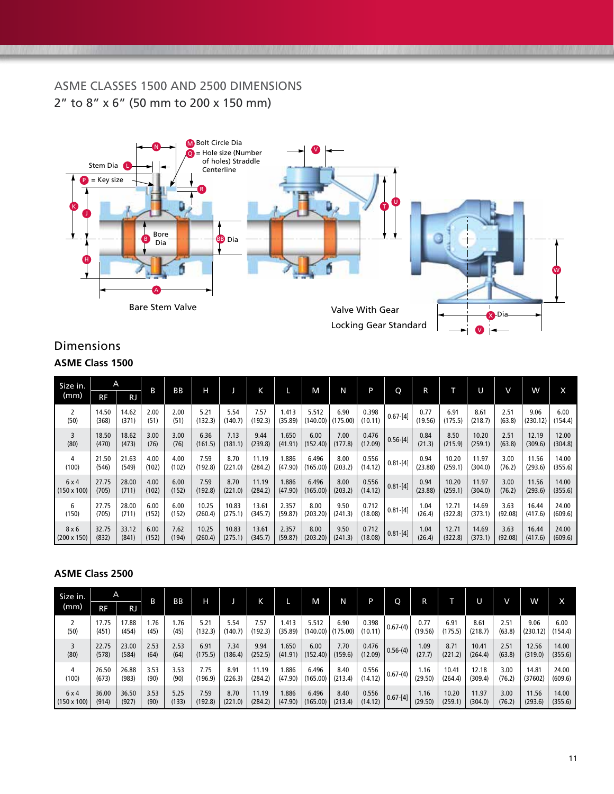### ASME CLASSES 1500 AND 2500 DIMENSIONS 2" to 8" x 6" (50 mm to 200 x 150 mm)



### Dimensions **ASME Class 1500**

| Size in.           | A         |           | В     | <b>BB</b> | н       |         | K       |         | M        | N        | P       | Q            | R       |         | U       | V       | w        | X       |
|--------------------|-----------|-----------|-------|-----------|---------|---------|---------|---------|----------|----------|---------|--------------|---------|---------|---------|---------|----------|---------|
| (mm)               | <b>RF</b> | <b>RJ</b> |       |           |         |         |         |         |          |          |         |              |         |         |         |         |          |         |
| 2                  | 14.50     | 14.62     | 2.00  | 2.00      | 5.21    | 5.54    | 7.57    | 1.413   | 5.512    | 6.90     | 0.398   | $0.67 - [4]$ | 0.77    | 6.91    | 8.61    | 2.51    | 9.06     | 6.00    |
| (50)               | (368)     | (371)     | (51)  | (51)      | (132.3) | (140.7) | (192.3) | (35.89) | (140.00) | (175.00) | (10.11) |              | (19.56) | (175.5) | (218.7) | (63.8)  | (230.12) | (154.4) |
| 3                  | 18.50     | 18.62     | 3.00  | 3.00      | 6.36    | 7.13    | 9.44    | 1.650   | 6.00     | 7.00     | 0.476   | $0.56 - [4]$ | 0.84    | 8.50    | 10.20   | 2.51    | 12.19    | 12.00   |
| (80)               | (470)     | (473)     | (76)  | (76)      | (161.5) | (181.1) | (239.8) | (41.91) | (152.40) | (177.8)  | (12.09) |              | (21.3)  | (215.9) | (259.1) | (63.8)  | (309.6)  | (304.8) |
| 4                  | 21.50     | 21.63     | 4.00  | 4.00      | 7.59    | 8.70    | 11.19   | .886    | 6.496    | 8.00     | 0.556   | $0.81 - [4]$ | 0.94    | 10.20   | 11.97   | 3.00    | 11.56    | 14.00   |
| (100)              | (546)     | (549)     | (102) | (102)     | (192.8) | (221.0) | (284.2) | (47.90) | (165.00) | (203.2)  | (14.12) |              | (23.88) | (259.1) | (304.0) | (76.2)  | (293.6)  | (355.6) |
| 6x4                | 27.75     | 28.00     | 4.00  | 6.00      | 7.59    | 8.70    | 11.19   | 1.886   | 6.496    | 8.00     | 0.556   | $0.81 - [4]$ | 0.94    | 10.20   | 11.97   | 3.00    | 11.56    | 14.00   |
| $(150 \times 100)$ | (705)     | (711)     | (102) | (152)     | (192.8) | (221.0) | (284.2) | (47.90) | (165.00) | (203.2)  | (14.12) |              | (23.88) | (259.1) | (304.0) | (76.2)  | (293.6)  | (355.6) |
| 6                  | 27.75     | 28.00     | 6.00  | 6.00      | 10.25   | 10.83   | 13.61   | 2.357   | 8.00     | 9.50     | 0.712   | $0.81 - [4]$ | 1.04    | 12.71   | 14.69   | 3.63    | 16.44    | 24.00   |
| (150)              | (705)     | (711)     | (152) | (152)     | (260.4) | (275.1) | (345.7) | (59.87) | (203.20) | (241.3)  | (18.08) |              | (26.4)  | (322.8) | (373.1) | (92.08) | (417.6)  | (609.6) |
| 8x6                | 32.75     | 33.12     | 6.00  | 7.62      | 10.25   | 10.83   | 13.61   | 2.357   | 8.00     | 9.50     | 0.712   | $0.81 - [4]$ | 1.04    | 12.71   | 14.69   | 3.63    | 16.44    | 24.00   |
| $(200 \times 150)$ | (832)     | (841)     | (152) | (194)     | (260.4) | (275.1) | (345.7) | (59.87) | (203.20) | (241.3)  | (18.08) |              | (26.4)  | (322.8) | (373.1) | (92.08) | (417.6)  | (609.6) |

#### **ASME Class 2500**

| Size in.           | A<br>RF        |                |             | <b>BB</b>    | н               |                 |                 |                  | M.                                 | N       | P                |              |                 |                 |                 | V              | w                |                 |
|--------------------|----------------|----------------|-------------|--------------|-----------------|-----------------|-----------------|------------------|------------------------------------|---------|------------------|--------------|-----------------|-----------------|-----------------|----------------|------------------|-----------------|
| (mm)               |                | <b>RJ</b>      | B           |              |                 |                 | Κ               |                  |                                    |         |                  | O            | R               |                 |                 |                |                  | x               |
| (50)               | 17.75<br>(451) | 17.88<br>(454) | .76<br>(45) | . 76<br>(45) | 5.21<br>(132.3) | 5.54<br>(140.7) | 7.57<br>(192.3) | 1.413<br>(35.89) | 5.512<br>$(140.00)$ $(175.00)$ $($ | 6.90    | 0.398<br>(10.11) | $0.67-(4)$   | 0.77<br>(19.56) | 6.91<br>(175.5) | 8.61<br>(218.7) | 2.51<br>(63.8) | 9.06<br>(230.12) | 6.00<br>(154.4) |
| 3                  | 22.75          | 23.00          | 2.53        | 2.53         | 6.91            | 7.34            | 9.94            | 1.650            | 6.00                               | 7.70    | 0.476            | $0.56-(4)$   | 1.09            | 8.71            | 10.41           | 2.51           | 12.56            | 14.00           |
| (80)               | (578)          | (584)          | (64)        | (64)         | (175.5)         | (186.4)         | (252.5)         | (41.91)          | (152.40)                           | (159.6) | (12.09)          |              | (27.7)          | (221.2)         | (264.4)         | (63.8)         | (319.0)          | (355.6)         |
| 4                  | 26.50          | 26.88          | 3.53        | 3.53         | 7.75            | 8.91            | 11.19           | 1.886            | 6.496                              | 8.40    | 0.556            | $  0.67-(4)$ | 1.16            | 10.41           | 12.18           | 3.00           | 14.81            | 24.00           |
| (100)              | (673)          | (983)          | (90)        | (90)         | (196.9)         | (226.3)         | (284.2)         | (47.90)          | (165.00)                           | (213.4) | (14.12)          |              | (29.50)         | (264.4)         | (309.4)         | (76.2)         | (37602)          | (609.6)         |
| 6x4                | 36.00          | 36.50          | 3.53        | 5.25         | 7.59            | 8.70            | 11.19           | 1.886            | 6.496                              | 8.40    | 0.556            | $ 0.67-[4]$  | 1.16            | 10.20           | 11.97           | 3.00           | 11.56            | 14.00           |
| $(150 \times 100)$ | (914)          | (927)          | (90)        | (133)        | (192.8)         | (221.0)         | (284.2)         | (47.90)          | (165.00)                           | (213.4) | (14.12)          |              | (29.50)         | (259.1)         | (304.0)         | (76.2)         | (293.6)          | (355.6)         |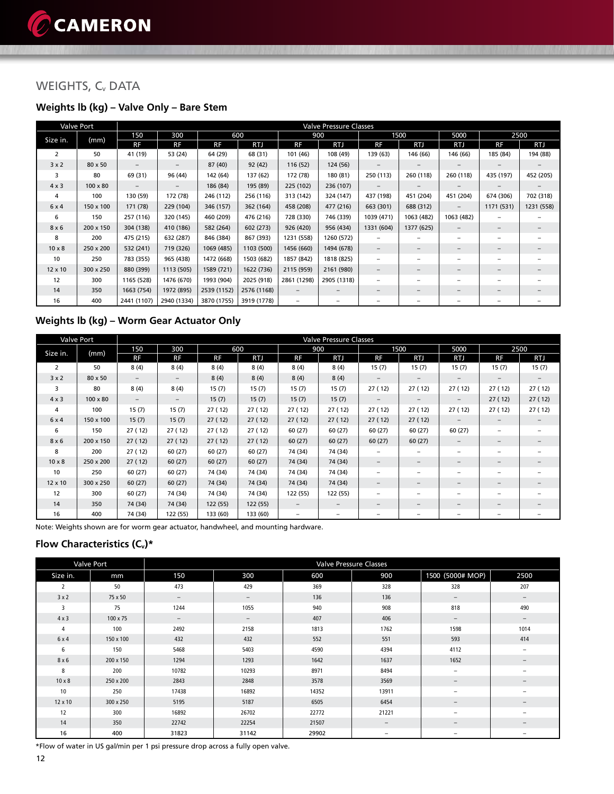### WEIGHTS, C<sub>v</sub> DATA

### **Weights lb (kg) – Valve Only – Bare Stem**

|                | <b>Valve Port</b> |             |                          |             |             |                          | <b>Valve Pressure Classes</b><br>900<br>1500<br>5000<br>2500<br>RTJ<br><b>RTJ</b><br>RF<br><b>RF</b><br>RTJ<br><b>RTJ</b><br>108 (49)<br>185 (84)<br>194 (88)<br>139 (63)<br>146 (66)<br>146 (66)<br>124 (56)<br>-<br>180 (81)<br>250 (113)<br>260 (118)<br>452 (205)<br>260 (118)<br>435 (197)<br>236 (107)<br>437 (198)<br>702 (318)<br>324 (147)<br>451 (204)<br>451 (204)<br>674 (306)<br>1231 (558)<br>477 (216)<br>663 (301)<br>688 (312)<br>1171 (531)<br>$\overline{\phantom{m}}$<br>746 (339)<br>1039 (471)<br>1063 (482)<br>1063 (482)<br>-<br>956 (434)<br>1331 (604)<br>1377 (625)<br>$\qquad \qquad -$<br>$\qquad \qquad -$ |   |  |                          |                          |  |  |  |  |  |
|----------------|-------------------|-------------|--------------------------|-------------|-------------|--------------------------|------------------------------------------------------------------------------------------------------------------------------------------------------------------------------------------------------------------------------------------------------------------------------------------------------------------------------------------------------------------------------------------------------------------------------------------------------------------------------------------------------------------------------------------------------------------------------------------------------------------------------------------|---|--|--------------------------|--------------------------|--|--|--|--|--|
| Size in.       | (mm)              | 150         | 300                      |             | 600         |                          |                                                                                                                                                                                                                                                                                                                                                                                                                                                                                                                                                                                                                                          |   |  |                          |                          |  |  |  |  |  |
|                |                   | RF          | RF                       | RF          | RTJ         | <b>RF</b>                |                                                                                                                                                                                                                                                                                                                                                                                                                                                                                                                                                                                                                                          |   |  |                          |                          |  |  |  |  |  |
| 2              | 50                | 41 (19)     | 53 (24)                  | 64 (29)     | 68 (31)     | 101 (46)                 |                                                                                                                                                                                                                                                                                                                                                                                                                                                                                                                                                                                                                                          |   |  |                          |                          |  |  |  |  |  |
| 3x2            | 80 x 50           |             | $\overline{\phantom{0}}$ | 87 (40)     | 92 (42)     | 116 (52)                 |                                                                                                                                                                                                                                                                                                                                                                                                                                                                                                                                                                                                                                          |   |  |                          |                          |  |  |  |  |  |
| 3              | 80                | 69 (31)     | 96 (44)                  | 142 (64)    | 137 (62)    | 172 (78)                 |                                                                                                                                                                                                                                                                                                                                                                                                                                                                                                                                                                                                                                          |   |  |                          |                          |  |  |  |  |  |
| $4 \times 3$   | $100 \times 80$   |             |                          | 186 (84)    | 195 (89)    | 225 (102)                |                                                                                                                                                                                                                                                                                                                                                                                                                                                                                                                                                                                                                                          |   |  |                          |                          |  |  |  |  |  |
| 4              | 100               | 130 (59)    | 172 (78)                 | 246 (112)   | 256 (116)   | 313 (142)                |                                                                                                                                                                                                                                                                                                                                                                                                                                                                                                                                                                                                                                          |   |  |                          |                          |  |  |  |  |  |
| 6x4            | 150 x 100         | 171 (78)    | 229 (104)                | 346 (157)   | 362 (164)   | 458 (208)                |                                                                                                                                                                                                                                                                                                                                                                                                                                                                                                                                                                                                                                          |   |  |                          |                          |  |  |  |  |  |
| 6              | 150               | 257 (116)   | 320 (145)                | 460 (209)   | 476 (216)   | 728 (330)                |                                                                                                                                                                                                                                                                                                                                                                                                                                                                                                                                                                                                                                          |   |  |                          |                          |  |  |  |  |  |
| $8 \times 6$   | 200 x 150         | 304 (138)   | 410 (186)                | 582 (264)   | 602 (273)   | 926 (420)                |                                                                                                                                                                                                                                                                                                                                                                                                                                                                                                                                                                                                                                          |   |  |                          |                          |  |  |  |  |  |
| 8              | 200               | 475 (215)   | 632 (287)                | 846 (384)   | 867 (393)   | 1231 (558)               | 1260 (572)                                                                                                                                                                                                                                                                                                                                                                                                                                                                                                                                                                                                                               |   |  |                          |                          |  |  |  |  |  |
| $10 \times 8$  | 250 x 200         | 532 (241)   | 719 (326)                | 1069 (485)  | 1103 (500)  | 1456 (660)               | 1494 (678)                                                                                                                                                                                                                                                                                                                                                                                                                                                                                                                                                                                                                               | - |  | -                        | $\overline{\phantom{0}}$ |  |  |  |  |  |
| 10             | 250               | 783 (355)   | 965 (438)                | 1472 (668)  | 1503 (682)  | 1857 (842)               | 1818 (825)                                                                                                                                                                                                                                                                                                                                                                                                                                                                                                                                                                                                                               |   |  |                          |                          |  |  |  |  |  |
| $12 \times 10$ | 300 x 250         | 880 (399)   | 1113 (505)               | 1589 (721)  | 1622 (736)  | 2115 (959)               | 2161 (980)                                                                                                                                                                                                                                                                                                                                                                                                                                                                                                                                                                                                                               | - |  | $\overline{\phantom{m}}$ | $\qquad \qquad -$        |  |  |  |  |  |
| 12             | 300               | 1165 (528)  | 1476 (670)               | 1993 (904)  | 2025 (918)  | 2861 (1298)              | 2905 (1318)                                                                                                                                                                                                                                                                                                                                                                                                                                                                                                                                                                                                                              | - |  | $\qquad \qquad -$        | -                        |  |  |  |  |  |
| 14             | 350               | 1663 (754)  | 1972 (895)               | 2539 (1152) | 2576 (1168) | $\overline{\phantom{m}}$ |                                                                                                                                                                                                                                                                                                                                                                                                                                                                                                                                                                                                                                          |   |  | $\overline{\phantom{m}}$ |                          |  |  |  |  |  |
| 16             | 400               | 2441 (1107) | 2940 (1334)              | 3870 (1755) | 3919 (1778) | $\overline{\phantom{0}}$ |                                                                                                                                                                                                                                                                                                                                                                                                                                                                                                                                                                                                                                          |   |  |                          |                          |  |  |  |  |  |

### **Weights lb (kg) – Worm Gear Actuator Only**

|                | <b>Valve Port</b> |                   |          |           |            |                   | <b>Valve Pressure Classes</b> |                          |                          |                          |                          |        |
|----------------|-------------------|-------------------|----------|-----------|------------|-------------------|-------------------------------|--------------------------|--------------------------|--------------------------|--------------------------|--------|
| Size in.       | (mm)              | 150               | 300      |           | 600        |                   | 900                           |                          | 1500                     | 5000                     |                          | 2500   |
|                |                   | RF                | RF       | <b>RF</b> | <b>RTJ</b> | RF                | RTJ                           | RF                       | <b>RTJ</b>               | <b>RTJ</b>               | <b>RF</b>                | RTJ    |
| $\overline{2}$ | 50                | 8(4)              | 8(4)     | 8(4)      | 8(4)       | 8(4)              | 8(4)                          | 15(7)                    | 15(7)                    | 15(7)                    | 15(7)                    | 15(7)  |
| 3x2            | $80 \times 50$    | $\qquad \qquad -$ | $-$      | 8(4)      | 8(4)       | 8(4)              | 8(4)                          | $\qquad \qquad -$        | $\qquad \qquad -$        | $\qquad \qquad -$        | $\qquad \qquad -$        |        |
| 3              | 80                | 8(4)              | 8(4)     | 15(7)     | 15(7)      | 15(7)             | 15(7)                         | 27 (12)                  | 27(12)                   | 27(12)                   | 27(12)                   | 27(12) |
| $4 \times 3$   | $100 \times 80$   | $\qquad \qquad -$ | $-$      | 15(7)     | 15(7)      | 15(7)             | 15(7)                         | $\qquad \qquad -$        |                          | $\qquad \qquad -$        | 27(12)                   | 27(12) |
| 4              | 100               | 15(7)             | 15(7)    | 27(12)    | 27(12)     | 27 (12)           | 27(12)                        | 27 (12)                  | 27(12)                   | 27(12)                   | 27(12)                   | 27(12) |
| 6x4            | 150 x 100         | 15(7)             | 15(7)    | 27(12)    | 27(12)     | 27(12)            | 27(12)                        | 27(12)                   | 27(12)                   | $\qquad \qquad -$        | $\overline{\phantom{a}}$ |        |
| 6              | 150               | 27 (12)           | 27(12)   | 27(12)    | 27(12)     | 60 (27)           | 60(27)                        | 60 (27)                  | 60(27)                   | 60 (27)                  |                          |        |
| $8 \times 6$   | 200 x 150         | 27(12)            | 27(12)   | 27(12)    | 27(12)     | 60(27)            | 60(27)                        | 60(27)                   | 60(27)                   | $\qquad \qquad -$        | $\qquad \qquad -$        |        |
| 8              | 200               | 27 (12)           | 60(27)   | 60 (27)   | 60(27)     | 74 (34)           | 74 (34)                       |                          |                          | $\overline{\phantom{m}}$ |                          |        |
| $10 \times 8$  | 250 x 200         | 27(12)            | 60(27)   | 60(27)    | 60(27)     | 74 (34)           | 74 (34)                       | $\qquad \qquad -$        |                          | $\overline{\phantom{0}}$ | $\qquad \qquad -$        |        |
| 10             | 250               | 60(27)            | 60(27)   | 74 (34)   | 74 (34)    | 74 (34)           | 74 (34)                       | -                        |                          | $\overline{\phantom{0}}$ |                          |        |
| 12 x 10        | 300 x 250         | 60(27)            | 60(27)   | 74 (34)   | 74 (34)    | 74 (34)           | 74 (34)                       | $\qquad \qquad -$        | $\qquad \qquad -$        | $\qquad \qquad -$        | $\qquad \qquad -$        |        |
| 12             | 300               | 60 (27)           | 74 (34)  | 74 (34)   | 74 (34)    | 122 (55)          | 122 (55)                      | $\qquad \qquad -$        | $\overline{\phantom{m}}$ | $\overline{\phantom{0}}$ | $\overline{\phantom{0}}$ |        |
| 14             | 350               | 74 (34)           | 74 (34)  | 122 (55)  | 122 (55)   | $\qquad \qquad -$ | $\qquad \qquad -$             | $\overline{\phantom{0}}$ | $\qquad \qquad -$        | $\qquad \qquad -$        |                          |        |
| 16             | 400               | 74 (34)           | 122 (55) | 133 (60)  | 133 (60)   | -                 | -                             |                          |                          |                          |                          |        |

Note: Weights shown are for worm gear actuator, handwheel, and mounting hardware.

#### **Flow Characteristics (C<sub>v</sub>)\***

|                | <b>Valve Port</b> |                          |                   |       | <b>Valve Pressure Classes</b> |                  |                              |
|----------------|-------------------|--------------------------|-------------------|-------|-------------------------------|------------------|------------------------------|
| Size in.       | mm                | 150                      | 300               | 600   | 900                           | 1500 (5000# MOP) | 2500                         |
| 2              | 50                | 473                      | 429               | 369   | 328                           | 328              | 207                          |
| 3x2            | 75 x 50           | $\qquad \qquad -$        | $\qquad \qquad -$ | 136   | 136                           | $-$              | $\qquad \qquad -$            |
| 3              | 75                | 1244                     | 1055              | 940   | 908                           | 818              | 490                          |
| $4 \times 3$   | 100 x 75          | $\overline{\phantom{m}}$ | $\qquad \qquad -$ | 407   | 406                           | -                | $\overline{\phantom{0}}$     |
| $\overline{4}$ | 100               | 2492                     | 2158              | 1813  | 1762                          | 1598             | 1014                         |
| 6 x 4          | 150 x 100         | 432                      | 432               | 552   | 551                           | 593              | 414                          |
| 6              | 150               | 5468                     | 5403              | 4590  | 4394                          | 4112             | $\overline{\phantom{0}}$     |
| 8x6            | 200 x 150         | 1294                     | 1293              | 1642  | 1637                          | 1652             | $\overline{\phantom{0}}$     |
| 8              | 200               | 10782                    | 10293             | 8971  | 8494                          | -                |                              |
| $10 \times 8$  | 250 x 200         | 2843                     | 2848              | 3578  | 3569                          | -                | $\overline{\phantom{0}}$     |
| 10             | 250               | 17438                    | 16892             | 14352 | 13911                         | -                | -                            |
| 12 x 10        | 300 x 250         | 5195                     | 5187              | 6505  | 6454                          | -                | $\qquad \qquad \blacksquare$ |
| 12             | 300               | 16892                    | 26702             | 22772 | 21221                         | -                |                              |
| 14             | 350               | 22742                    | 22254             | 21507 | $\qquad \qquad -$             | -                | $\overline{\phantom{0}}$     |
| 16             | 400               | 31823                    | 31142             | 29902 | $\overline{\phantom{a}}$      | -                | -                            |

\*Flow of water in US gal/min per 1 psi pressure drop across a fully open valve.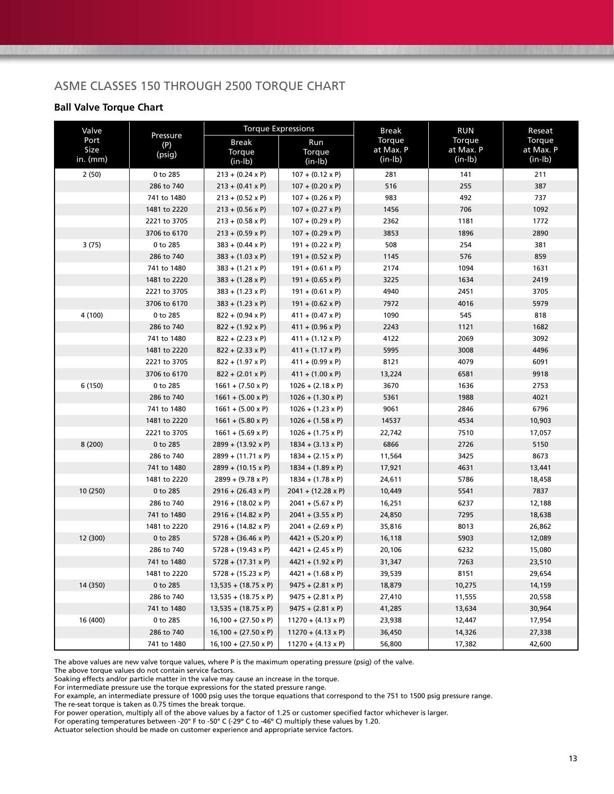### ASME CLASSES 150 THROUGH 2500 TORQUE CHART

#### **Ball Valve Torque Chart**

| Valve                      |                           | <b>Torque Expressions</b>                          |                                                    | Break                            | <b>RUN</b>                       | Reseat                           |  |
|----------------------------|---------------------------|----------------------------------------------------|----------------------------------------------------|----------------------------------|----------------------------------|----------------------------------|--|
| Port<br>Size<br>in. $(mm)$ | Pressure<br>(P)<br>(psig) | <b>Break</b><br>Torque                             | Run<br>Torque                                      | Torque<br>at Max. P<br>$(in-lb)$ | Torque<br>at Max. P<br>$(in-lb)$ | Torque<br>at Max. P<br>$(in-lb)$ |  |
|                            |                           | $(in-lb)$                                          | $(in-lb)$                                          | 281                              | 141                              |                                  |  |
| 2(50)                      | 0 to 285<br>286 to 740    | $213 + (0.24 \times P)$<br>$213 + (0.41 \times P)$ | $107 + (0.12 \times P)$<br>$107 + (0.20 \times P)$ | 516                              | 255                              | 211<br>387                       |  |
|                            | 741 to 1480               | $213 + (0.52 \times P)$                            | $107 + (0.26 \times P)$                            | 983                              | 492                              | 737                              |  |
|                            | 1481 to 2220              | $213 + (0.56 \times P)$                            | $107 + (0.27 \times P)$                            | 1456                             | 706                              | 1092                             |  |
|                            | 2221 to 3705              | $213 + (0.58 \times P)$                            | $107 + (0.29 \times P)$                            | 2362                             | 1181                             | 1772                             |  |
|                            | 3706 to 6170              | $213 + (0.59 \times P)$                            | $107 + (0.29 \times P)$                            | 3853                             | 1896                             | 2890                             |  |
| 3(75)                      | 0 to 285                  | $383 + (0.44 \times P)$                            | $191 + (0.22 \times P)$                            | 508                              | 254                              | 381                              |  |
|                            | 286 to 740                | $383 + (1.03 \times P)$                            | $191 + (0.52 \times P)$                            | 1145                             | 576                              | 859                              |  |
|                            | 741 to 1480               | $383 + (1.21 \times P)$                            | $191 + (0.61 \times P)$                            | 2174                             | 1094                             | 1631                             |  |
|                            | 1481 to 2220              | $383 + (1.28 \times P)$                            | $191 + (0.65 \times P)$                            | 3225                             | 1634                             | 2419                             |  |
|                            | 2221 to 3705              |                                                    |                                                    | 4940                             | 2451                             | 3705                             |  |
|                            |                           | $383 + (1.23 \times P)$                            | $191 + (0.61 \times P)$                            | 7972                             | 4016                             | 5979                             |  |
| 4 (100)                    | 3706 to 6170              | $383 + (1.23 \times P)$                            | $191 + (0.62 \times P)$                            | 1090                             | 545                              | 818                              |  |
|                            | 0 to 285                  | $822 + (0.94 \times P)$                            | $411 + (0.47 \times P)$<br>$411 + (0.96 \times P)$ |                                  | 1121                             | 1682                             |  |
|                            | 286 to 740                | $822 + (1.92 \times P)$                            |                                                    | 2243                             |                                  |                                  |  |
|                            | 741 to 1480               | $822 + (2.23 \times P)$                            | $411 + (1.12 \times P)$                            | 4122                             | 2069                             | 3092                             |  |
|                            | 1481 to 2220              | $822 + (2.33 \times P)$                            | $411 + (1.17 \times P)$                            | 5995                             | 3008                             | 4496                             |  |
|                            | 2221 to 3705              | $822 + (1.97 \times P)$                            | $411 + (0.99 \times P)$                            | 8121                             | 4079                             | 6091                             |  |
|                            | 3706 to 6170              | $822 + (2.01 \times P)$                            | $411 + (1.00 \times P)$                            | 13,224                           | 6581                             | 9918                             |  |
| 6 (150)                    | 0 to 285                  | $1661 + (7.50 \times P)$                           | $1026 + (2.18 \times P)$                           | 3670                             | 1636                             | 2753                             |  |
|                            | 286 to 740                | $1661 + (5.00 \times P)$                           | $1026 + (1.30 \times P)$                           | 5361                             | 1988                             | 4021                             |  |
|                            | 741 to 1480               | $1661 + (5.00 \times P)$                           | $1026 + (1.23 \times P)$                           | 9061                             | 2846                             | 6796                             |  |
|                            | 1481 to 2220              | $1661 + (5.80 \times P)$                           | $1026 + (1.58 \times P)$                           | 14537                            | 4534                             | 10,903                           |  |
|                            | 2221 to 3705              | $1661 + (5.69 \times P)$                           | $1026 + (1.75 \times P)$                           | 22,742                           | 7510                             | 17,057                           |  |
| 8(200)                     | 0 to 285                  | $2899 + (13.92 \times P)$                          | $1834 + (3.13 \times P)$                           | 6866                             | 2726                             | 5150                             |  |
|                            | 286 to 740                | $2899 + (11.71 \times P)$                          | $1834 + (2.15 \times P)$                           | 11,564                           | 3425                             | 8673                             |  |
|                            | 741 to 1480               | $2899 + (10.15 \times P)$                          | $1834 + (1.89 \times P)$                           | 17,921                           | 4631                             | 13,441                           |  |
|                            | 1481 to 2220              | $2899 + (9.78 \times P)$                           | $1834 + (1.78 \times P)$                           | 24,611                           | 5786                             | 18,458                           |  |
| 10 (250)                   | 0 to 285                  | 2916 + (26.43 x P)                                 | $2041 + (12.28 \times P)$                          | 10,449                           | 5541                             | 7837                             |  |
|                            | 286 to 740                | $2916 + (18.02 \times P)$                          | $2041 + (5.67 \times P)$                           | 16,251                           | 6237                             | 12,188                           |  |
|                            | 741 to 1480               | $2916 + (14.82 \times P)$                          | $2041 + (3.55 \times P)$                           | 24,850                           | 7295                             | 18,638                           |  |
|                            | 1481 to 2220              | $2916 + (14.82 \times P)$                          | $2041 + (2.69 \times P)$                           | 35,816                           | 8013                             | 26,862                           |  |
| 12 (300)                   | 0 to 285                  | $5728 + (36.46 \times P)$                          | $4421 + (5.20 \times P)$                           | 16,118                           | 5903                             | 12,089                           |  |
|                            | 286 to 740                | $5728 + (19.43 \times P)$                          | $4421 + (2.45 \times P)$                           | 20,106                           | 6232                             | 15,080                           |  |
|                            | 741 to 1480               | $5728 + (17.31 \times P)$                          | $4421 + (1.92 \times P)$                           | 31,347                           | 7263                             | 23,510                           |  |
|                            | 1481 to 2220              | $5728 + (15.23 \times P)$                          | 4421 + (1.68 x P)                                  | 39,539                           | 8151                             | 29,654                           |  |
| 14 (350)                   | 0 to 285                  | $13,535 + (18.75 \times P)$                        | $9475 + (2.81 \times P)$                           | 18,879                           | 10,275                           | 14,159                           |  |
|                            | 286 to 740                | $13,535 + (18.75 \times P)$                        | $9475 + (2.81 \times P)$                           | 27,410                           | 11,555                           | 20,558                           |  |
|                            | 741 to 1480               | $13,535 + (18.75 \times P)$                        | $9475 + (2.81 \times P)$                           | 41,285                           | 13,634                           | 30,964                           |  |
| 16 (400)                   | 0 to 285                  | $16,100 + (27.50 \times P)$                        | $11270 + (4.13 \times P)$                          | 23,938                           | 12,447                           | 17,954                           |  |
|                            | 286 to 740                | $16,100 + (27.50 \times P)$                        | $11270 + (4.13 \times P)$                          | 36,450                           | 14,326                           | 27,338                           |  |
|                            | 741 to 1480               | $16,100 + (27.50 \times P)$                        | $11270 + (4.13 \times P)$                          | 56,800                           | 17,382                           | 42,600                           |  |

The above values are new valve torque values, where P is the maximum operating pressure (psig) of the valve.

The above torque values do not contain service factors.

Soaking effects and/or particle matter in the valve may cause an increase in the torque.

For intermediate pressure use the torque expressions for the stated pressure range.

For example, an intermediate pressure of 1000 psig uses the torque equations that correspond to the 751 to 1500 psig pressure range.

The re-seat torque is taken as 0.75 times the break torque.

For power operation, multiply all of the above values by a factor of 1.25 or customer specified factor whichever is larger.

For operating temperatures between -20° F to -50° C (-29º C to -46º C) multiply these values by 1.20.

Actuator selection should be made on customer experience and appropriate service factors.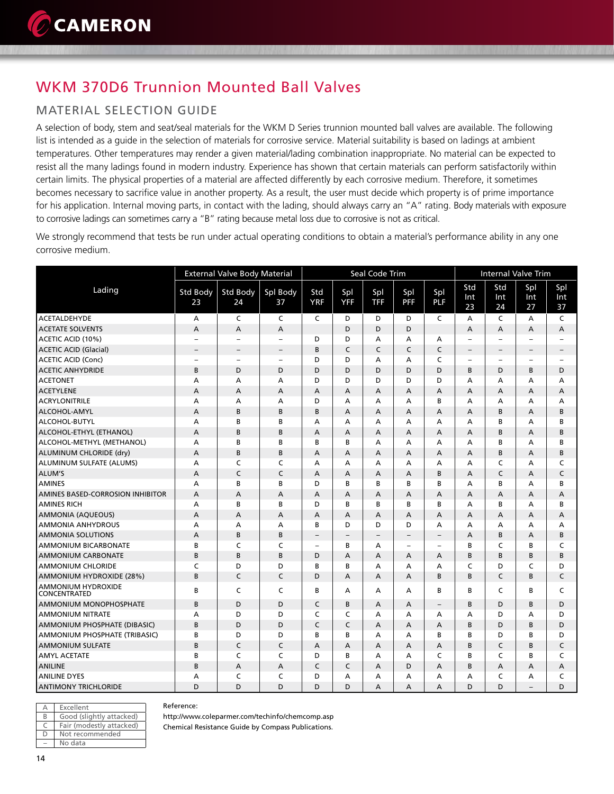## WKM 370D6 Trunnion Mounted Ball Valves

### MATERIAL SELECTION GUIDE

A selection of body, stem and seat/seal materials for the WKM D Series trunnion mounted ball valves are available. The following list is intended as a guide in the selection of materials for corrosive service. Material suitability is based on ladings at ambient temperatures. Other temperatures may render a given material/lading combination inappropriate. No material can be expected to resist all the many ladings found in modern industry. Experience has shown that certain materials can perform satisfactorily within certain limits. The physical properties of a material are affected differently by each corrosive medium. Therefore, it sometimes becomes necessary to sacrifice value in another property. As a result, the user must decide which property is of prime importance for his application. Internal moving parts, in contact with the lading, should always carry an "A" rating. Body materials with exposure to corrosive ladings can sometimes carry a "B" rating because metal loss due to corrosive is not as critical.

We strongly recommend that tests be run under actual operating conditions to obtain a material's performance ability in any one corrosive medium.

|                                    |                          | <b>External Valve Body Material</b> |                   |                          |                          | Seal Code Trim    |                          |                          | Internal Valve Trim      |                          |                          |                          |
|------------------------------------|--------------------------|-------------------------------------|-------------------|--------------------------|--------------------------|-------------------|--------------------------|--------------------------|--------------------------|--------------------------|--------------------------|--------------------------|
| Lading                             | <b>Std Body</b><br>23    | Std Body<br>24                      | Spl Body<br>37    | Std<br><b>YRF</b>        | Spl<br><b>YFF</b>        | Spl<br><b>TFF</b> | Spl<br><b>PFF</b>        | Spl<br><b>PLF</b>        | Std<br>Int<br>23         | Std<br>Int<br>24         | Spl<br>Int<br>27         | Spl<br>Int<br>37         |
| <b>ACETALDEHYDE</b>                | A                        | C                                   | C                 | C                        | D                        | D                 | D                        | C                        | A                        | C                        | A                        | C                        |
| <b>ACETATE SOLVENTS</b>            | А                        | A                                   | A                 |                          | D                        | D                 | D                        |                          | Α                        | А                        | А                        | А                        |
| ACETIC ACID (10%)                  | $\overline{\phantom{a}}$ | L.                                  | ÷,                | D                        | D                        | А                 | A                        | А                        | $\overline{\phantom{0}}$ | $\overline{\phantom{a}}$ | $\overline{\phantom{a}}$ | $\overline{\phantom{0}}$ |
| <b>ACETIC ACID (Glacial)</b>       | $\qquad \qquad -$        | -                                   | $\qquad \qquad -$ | B                        | C                        | C                 | C                        | C                        | -                        | $\overline{\phantom{m}}$ | $\overline{\phantom{m}}$ | -                        |
| <b>ACETIC ACID (Conc)</b>          | $\overline{\phantom{a}}$ | L.                                  | L.                | D                        | D                        | A                 | A                        | $\mathsf{C}$             | L,                       | $\qquad \qquad -$        | $\overline{\phantom{a}}$ | ÷                        |
| <b>ACETIC ANHYDRIDE</b>            | B                        | D                                   | D                 | D                        | D                        | D                 | D                        | D                        | B                        | D                        | B                        | D                        |
| <b>ACETONET</b>                    | A                        | A                                   | A                 | D                        | D                        | D                 | D                        | D                        | A                        | А                        | A                        | А                        |
| <b>ACETYLENE</b>                   | A                        | A                                   | A                 | А                        | A                        | A                 | A                        | A                        | A                        | A                        | A                        | А                        |
| <b>ACRYLONITRILE</b>               | A                        | A                                   | A                 | D                        | A                        | A                 | A                        | B                        | A                        | А                        | А                        | А                        |
| ALCOHOL-AMYL                       | A                        | B                                   | B                 | B                        | A                        | A                 | $\overline{A}$           | A                        | A                        | B                        | A                        | B                        |
| ALCOHOL-BUTYL                      | A                        | B                                   | B                 | А                        | А                        | A                 | A                        | A                        | A                        | B                        | A                        | В                        |
| ALCOHOL-ETHYL (ETHANOL)            | A                        | B                                   | B                 | А                        | A                        | A                 | $\overline{A}$           | А                        | A                        | B                        | А                        | B                        |
| ALCOHOL-METHYL (METHANOL)          | A                        | B                                   | B                 | B                        | B                        | A                 | A                        | A                        | A                        | B                        | A                        | B                        |
| ALUMINUM CHLORIDE (dry)            | А                        | B                                   | B                 | А                        | A                        | A                 | A                        | A                        | A                        | B                        | А                        | B                        |
| ALUMINUM SULFATE (ALUMS)           | A                        | C                                   | C                 | A                        | A                        | A                 | A                        | A                        | A                        | C                        | A                        | C                        |
| ALUM'S                             | A                        | C                                   | C                 | A                        | A                        | A                 | A                        | B                        | A                        | C                        | A                        | C                        |
| <b>AMINES</b>                      | A                        | B                                   | B                 | D                        | B                        | B                 | B                        | B                        | A                        | B                        | A                        | B                        |
| AMINES BASED-CORROSION INHIBITOR   | А                        | A                                   | A                 | А                        | A                        | A                 | A                        | $\overline{A}$           | A                        | А                        | A                        | A                        |
| <b>AMINES RICH</b>                 | A                        | B                                   | B                 | D                        | B                        | B                 | B                        | B                        | A                        | B                        | A                        | B                        |
| <b>AMMONIA (AQUEOUS)</b>           | A                        | A                                   | A                 | A                        | A                        | A                 | A                        | $\overline{A}$           | A                        | A                        | A                        | А                        |
| <b>AMMONIA ANHYDROUS</b>           | A                        | A                                   | A                 | В                        | D                        | D                 | D                        | A                        | A                        | A                        | A                        | A                        |
| <b>AMMONIA SOLUTIONS</b>           | A                        | B                                   | B                 | $\qquad \qquad -$        | $\overline{\phantom{0}}$ | $\qquad \qquad -$ | $\overline{\phantom{0}}$ | $\overline{\phantom{0}}$ | A                        | B                        | A                        | B                        |
| <b>AMMONIUM BICARBONATE</b>        | B                        | C                                   | C                 | $\overline{\phantom{m}}$ | B                        | A                 | $\overline{\phantom{0}}$ | $\overline{\phantom{0}}$ | B                        | C                        | В                        | C                        |
| <b>AMMONIUM CARBONATE</b>          | B                        | B                                   | B                 | D                        | А                        | A                 | A                        | А                        | В                        | B                        | В                        | B                        |
| <b>AMMONIUM CHLORIDE</b>           | $\mathsf{C}$             | D                                   | D                 | В                        | B                        | A                 | А                        | A                        | C                        | D                        | C                        | D                        |
| AMMONIUM HYDROXIDE (28%)           | B                        | C                                   | C                 | D                        | A                        | A                 | A                        | B                        | B                        | C                        | B                        | C                        |
| AMMONIUM HYDROXIDE<br>CONCENTRATED | B                        | C                                   | C                 | В                        | А                        | A                 | A                        | B                        | В                        | C                        | В                        | C                        |
| <b>AMMONIUM MONOPHOSPHATE</b>      | B                        | D                                   | D                 | C                        | B                        | A                 | A                        | $\overline{\phantom{0}}$ | B                        | D                        | B                        | D                        |
| <b>AMMONIUM NITRATE</b>            | A                        | D                                   | D                 | C                        | C                        | A                 | A                        | A                        | A                        | D                        | A                        | D                        |
| AMMONIUM PHOSPHATE (DIBASIC)       | B                        | D                                   | D                 | C                        | C                        | A                 | A                        | A                        | B                        | D                        | B                        | D                        |
| AMMONIUM PHOSPHATE (TRIBASIC)      | B                        | D                                   | D                 | B                        | B                        | A                 | A                        | B                        | B                        | D                        | B                        | D                        |
| <b>AMMONIUM SULFATE</b>            | B                        | C                                   | C                 | A                        | A                        | A                 | A                        | $\overline{A}$           | B                        | C                        | B                        | C                        |
| <b>AMYL ACETATE</b>                | B                        | C                                   | C                 | D                        | B                        | A                 | A                        | $\mathsf{C}$             | B                        | C                        | B                        | C                        |
| <b>ANILINE</b>                     | B                        | A                                   | A                 | C                        | C                        | A                 | D                        | A                        | B                        | A                        | A                        | А                        |
| <b>ANILINE DYES</b>                | A                        | Ċ                                   | C                 | D                        | A                        | A                 | A                        | A                        | A                        | C                        | A                        | C                        |
| <b>ANTIMONY TRICHLORIDE</b>        | D                        | D                                   | D                 | D                        | D                        | A                 | A                        | $\overline{A}$           | D                        | D                        | $\equiv$                 | D                        |

| А  | Excellent                |
|----|--------------------------|
| B  | Good (slightly attacked) |
|    | Fair (modestly attacked) |
| נו | Not recommended          |
|    | No data                  |

Reference:

http://www.coleparmer.com/techinfo/chemcomp.asp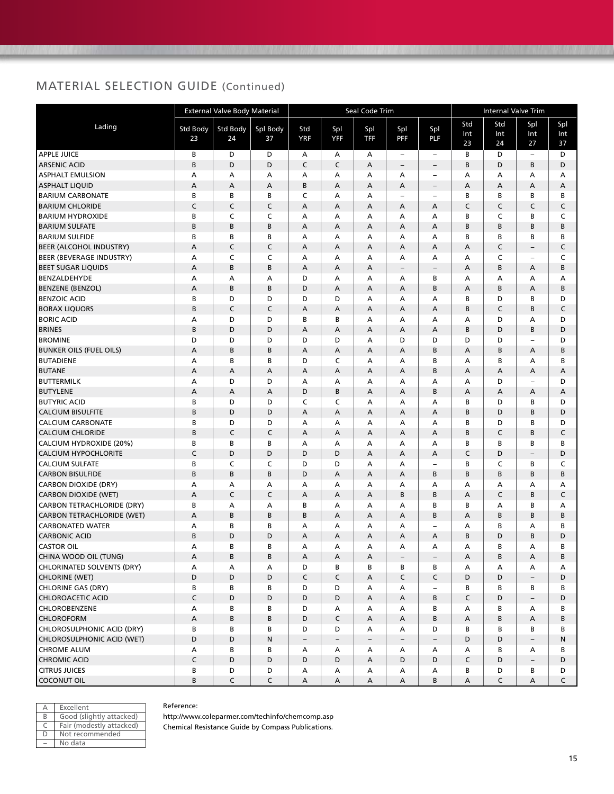|                                   |                | <b>External Valve Body Material</b> |                |                           |                          | Seal Code Trim            |                          |                          | <b>Internal Valve Trim</b> |                  |                          |                  |  |
|-----------------------------------|----------------|-------------------------------------|----------------|---------------------------|--------------------------|---------------------------|--------------------------|--------------------------|----------------------------|------------------|--------------------------|------------------|--|
| Lading                            | Std Body<br>23 | Std Body<br>24                      | Spl Body<br>37 | Std<br><b>YRF</b>         | Spl<br><b>YFF</b>        | Spl<br><b>TFF</b>         | Spl<br><b>PFF</b>        | Spl<br>PLF               | Std<br>Int<br>23           | Std<br>Int<br>24 | Spl<br>Int<br>27         | Spl<br>Int<br>37 |  |
| <b>APPLE JUICE</b>                | В              | D                                   | D              | А                         | А                        | А                         | $\sim$                   | $\overline{\phantom{a}}$ | В                          | D                | $\sim$                   | D                |  |
| <b>ARSENIC ACID</b>               | B              | D                                   | D              | $\mathsf{C}$              | C                        | A                         | $\overline{\phantom{a}}$ | $\overline{\phantom{a}}$ | B                          | D                | B                        | D                |  |
| <b>ASPHALT EMULSION</b>           | А              | A                                   | А              | A                         | А                        | А                         | A                        | $\qquad \qquad -$        | А                          | А                | A                        | A                |  |
| <b>ASPHALT LIQUID</b>             | А              | А                                   | А              | B                         | A                        | Α                         | A                        | $\overline{\phantom{a}}$ | A                          | А                | A                        | А                |  |
| <b>BARIUM CARBONATE</b>           | B              | В                                   | В              | C                         | A                        | А                         | ÷                        | $\overline{a}$           | B                          | B                | B                        | B                |  |
| <b>BARIUM CHLORIDE</b>            | C              | $\mathsf C$                         | $\mathsf C$    | A                         | A                        | Α                         | Α                        | A                        | C                          | C                | C                        | $\mathsf C$      |  |
| <b>BARIUM HYDROXIDE</b>           | В              | C                                   | C              | А                         | А                        | Α                         | А                        | А                        | B                          | C                | B                        | C                |  |
| <b>BARIUM SULFATE</b>             | B              | B                                   | B              | A                         | A                        | A                         | A                        | A                        | В                          | В                | B                        | B                |  |
| <b>BARIUM SULFIDE</b>             | В              | В                                   | B              | А                         | А                        | Α                         | А                        | A                        | B                          | В                | B                        | B                |  |
| <b>BEER (ALCOHOL INDUSTRY)</b>    | А              | C                                   | C              | A                         | A                        | Α                         | A                        | A                        | A                          | C                | $\qquad \qquad -$        | C                |  |
| <b>BEER (BEVERAGE INDUSTRY)</b>   | А              | C                                   | C              | A                         | A                        | Α                         | A                        | A                        | A                          | C                | -                        | C                |  |
| <b>BEET SUGAR LIQUIDS</b>         | A              | B                                   | B              | A                         | A                        | Α                         | $\qquad \qquad -$        | $\overline{\phantom{0}}$ | A                          | B                | А                        | B                |  |
| BENZALDEHYDE                      | А              | А                                   | А              | D                         | А                        | А                         | А                        | В                        | А                          | Α                | А                        | А                |  |
| <b>BENZENE (BENZOL)</b>           | A              | B                                   | B              | D                         | A                        | Α                         | A                        | B                        | A                          | B                | A                        | B                |  |
| <b>BENZOIC ACID</b>               | В              | D                                   | D              | D                         | D                        | Α                         | А                        | А                        | B                          | D                | B                        | D                |  |
| <b>BORAX LIQUORS</b>              | B              | C                                   | C              | $\overline{A}$            | A                        | Α                         | А                        | A                        | B                          | C                | B                        | $\mathsf C$      |  |
| <b>BORIC ACID</b>                 | А              | D                                   | D              | B                         | B                        | А                         | А                        | A                        | А                          | D                | А                        | D                |  |
| <b>BRINES</b>                     | B              | D                                   | D              | $\overline{A}$            | A                        | A                         | $\overline{A}$           | $\overline{A}$           | B                          | D                | B                        | D                |  |
| <b>BROMINE</b>                    | D              | D                                   | D              | D                         | D                        | А                         | D                        | D                        | D                          | D                | ۳                        | D                |  |
| <b>BUNKER OILS (FUEL OILS)</b>    | A              | В                                   | B              | Α                         | А                        | Α                         | Α                        | B                        | A                          | B                | A                        | В                |  |
| <b>BUTADIENE</b>                  | А              | B                                   | B              | D                         | C                        | Α                         | А                        | B                        | Α                          | B                | A                        | B                |  |
| <b>BUTANE</b>                     | Α              | А                                   | Α              | A                         | A                        | Α                         | A                        | В                        | A                          | Α                | A                        | А                |  |
| <b>BUTTERMILK</b>                 | А              | D                                   | D              | A                         | А                        | Α                         | A                        | A                        | A                          | D                | $\overline{\phantom{0}}$ | D                |  |
| <b>BUTYLENE</b>                   | Α              | А                                   | А              | D                         | B                        | A                         | A                        | B                        | A                          | А                | A                        | А                |  |
| <b>BUTYRIC ACID</b>               | В              | D                                   | D              | C                         | C                        | А                         | A                        | A                        | B                          | D                | B                        | D                |  |
| <b>CALCIUM BISULFITE</b>          | B              | D                                   | D              | $\overline{A}$            | A                        | A                         | A                        | $\overline{A}$           | B                          | D                | B                        | D                |  |
| <b>CALCIUM CARBONATE</b>          | В              | D                                   | D              | А                         | А                        | А                         | Α                        | A                        | B                          | D                | В                        | D                |  |
| <b>CALCIUM CHLORIDE</b>           | B              | $\mathsf{C}$                        | C              | A                         | A                        | A                         | A                        | A                        | B                          | C                | B                        | C                |  |
| CALCIUM HYDROXIDE (20%)           | В              | В                                   | В              | А                         | А                        | Α                         | А                        | А                        | В                          | В                | в                        | В                |  |
| <b>CALCIUM HYPOCHLORITE</b>       | C              | D                                   | D              | D                         | D                        | Α                         | Α                        | Α                        | C                          | D                | $\overline{\phantom{a}}$ | D                |  |
| <b>CALCIUM SULFATE</b>            | В              | C                                   | C              | D                         | D                        | A                         | А                        | L.                       | B                          | C                | B                        | C                |  |
| <b>CARBON BISULFIDE</b>           | B              | B                                   | B              | D                         | A                        | A                         | A                        | B                        | B                          | B                | B                        | B                |  |
| <b>CARBON DIOXIDE (DRY)</b>       | А              | А                                   | А              | A                         | А                        | А                         | А                        | А                        | A                          | А                | A                        | А                |  |
| <b>CARBON DIOXIDE (WET)</b>       | А              | C                                   | C              | A                         | A                        | Α                         | B                        | B                        | A                          | C                | B                        | $\mathsf C$      |  |
| CARBON TETRACHLORIDE (DRY)        | В              | А                                   | А              | B                         | А                        | А                         | А                        | В                        | B                          | А                | B                        | А                |  |
| <b>CARBON TETRACHLORIDE (WET)</b> | Α              | B                                   | B              | В                         | A                        | A                         | A                        | B                        | A                          | В                | B                        | B                |  |
| <b>CARBONATED WATER</b>           | А              | В                                   | B              | А                         | А                        | Α                         | А                        | ÷                        | А                          | В                | А                        | B                |  |
| <b>CARBONIC ACID</b>              | B              | D                                   | D              | $\overline{A}$            | A                        | A                         | A                        | A                        | B                          | D                | B                        | D                |  |
| <b>CASTOR OIL</b>                 | А              | В                                   | В              | A                         | A                        | А                         | A                        | A                        | A                          | B                | A                        | B                |  |
| CHINA WOOD OIL (TUNG)             | A              | B                                   | В              | A                         | A                        | A                         | $\overline{\phantom{a}}$ | $\overline{\phantom{a}}$ | A                          | В                | A                        | В                |  |
| <b>CHLORINATED SOLVENTS (DRY)</b> | А              | А                                   | А              | D                         | В                        | В                         | В                        | В                        | А                          | А                | Α                        | Α                |  |
| <b>CHLORINE (WET)</b>             | D              | D                                   | D              | $\mathsf C$               | C                        | $\mathsf A$               | $\mathsf{C}$             | C                        | D                          | D                | $\overline{\phantom{a}}$ | D                |  |
| <b>CHLORINE GAS (DRY)</b>         | В              | В                                   | В              | D                         | D                        | Α                         | А                        | $\overline{\phantom{a}}$ | В                          | В                | В                        | В                |  |
| <b>CHLOROACETIC ACID</b>          | $\mathsf C$    | D                                   | D              | D                         | D                        | Α                         | A                        | B                        | $\mathsf C$                | D                | $\overline{\phantom{m}}$ | D                |  |
| CHLOROBENZENE                     | А              | B                                   | В              | D                         | Α                        | Α                         | А                        | В                        | А                          | В                | А                        | В                |  |
| CHLOROFORM                        | А              | B                                   | В              | D                         | C                        | Α                         | A                        | B                        | Α                          | B                | A                        | B                |  |
| CHLOROSULPHONIC ACID (DRY)        | В              | В                                   | в              | D                         | D                        | Α                         | А                        | D                        | В                          | В                | В                        | В                |  |
| CHLOROSULPHONIC ACID (WET)        | D              | D                                   | N              | $\overline{\phantom{a}}$  | $\overline{\phantom{a}}$ | $\overline{\phantom{a}}$  | $\overline{\phantom{a}}$ | $\overline{\phantom{a}}$ | D                          | D                | $\overline{\phantom{a}}$ | N                |  |
| <b>CHROME ALUM</b>                | А              | В                                   | В              | Α                         | А                        | Α                         | А                        | Α                        | А                          | B                | А                        | В                |  |
| <b>CHROMIC ACID</b>               | $\mathsf C$    | D                                   | D              | D                         | D                        | Α                         | D                        | D                        | C                          | D                | $\overline{\phantom{a}}$ | D                |  |
| <b>CITRUS JUICES</b>              | B              | D                                   | D              | Α                         | Α                        | Α                         | A                        | Α                        | В                          | D                | B                        | D                |  |
| <b>COCONUT OIL</b>                | B              | $\mathsf{C}$                        | $\mathsf C$    | $\boldsymbol{\mathsf{A}}$ | A                        | $\boldsymbol{\mathsf{A}}$ | A                        | B                        | A                          | $\mathsf{C}$     | A                        | $\mathsf C$      |  |

| А | Excellent                |
|---|--------------------------|
| R | Good (slightly attacked) |
| C | Fair (modestly attacked) |
| D | Not recommended          |
|   | No data                  |

#### Reference:

http://www.coleparmer.com/techinfo/chemcomp.asp Chemical Resistance Guide by Compass Publications.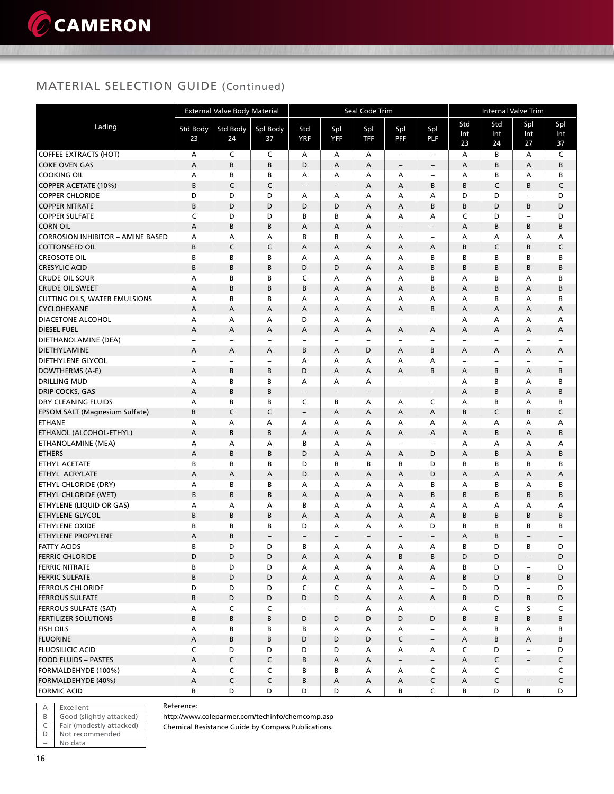### MATERIAL SELECTION GUIDE (Continued)

|                                                 | <b>External Valve Body Material</b> |                          |                          |                          |                          | Seal Code Trim           |                               | Internal Valve Trim      |                               |        |                          |                               |
|-------------------------------------------------|-------------------------------------|--------------------------|--------------------------|--------------------------|--------------------------|--------------------------|-------------------------------|--------------------------|-------------------------------|--------|--------------------------|-------------------------------|
| Lading                                          | <b>Std Body</b>                     | <b>Std Body</b>          |                          | Std                      |                          |                          |                               |                          | Std                           | Std    | Spl                      | Spl                           |
|                                                 | 23                                  | 24                       | Spl Body<br>37           | <b>YRF</b>               | Spl<br>YFF               | Spl<br>TFF               | Spl<br><b>PFF</b>             | Spl<br>PLF               | Int                           | Int    | Int                      | Int                           |
|                                                 |                                     |                          |                          |                          |                          |                          |                               |                          | 23                            | 24     | 27                       | 37                            |
| <b>COFFEE EXTRACTS (HOT)</b>                    | А                                   | C                        | C                        | А                        | Α                        | А                        | $\qquad \qquad -$             | $\overline{\phantom{m}}$ | А                             | B      | А                        | C                             |
| <b>COKE OVEN GAS</b>                            | Α                                   | B                        | B                        | D                        | A                        | А                        | $\qquad \qquad -$             | $\overline{\phantom{a}}$ | А                             | B      | Α                        | B                             |
| <b>COOKING OIL</b>                              | А                                   | В                        | В                        | А                        | А                        | А                        | Α                             | $\overline{\phantom{0}}$ | А                             | В      | А                        | В                             |
| COPPER ACETATE (10%)                            | B                                   | C                        | C                        | $\equiv$                 | $\overline{\phantom{a}}$ | А                        | A                             | В                        | B                             | C      | B                        | $\mathsf C$                   |
| <b>COPPER CHLORIDE</b>                          | D                                   | D                        | D                        | А                        | А                        | А                        | А                             | A                        | D                             | D      | $\overline{\phantom{a}}$ | D                             |
| <b>COPPER NITRATE</b>                           | B                                   | D                        | D                        | D                        | D                        | А                        | Α                             | B                        | В                             | D      | B                        | D                             |
| <b>COPPER SULFATE</b>                           | C                                   | D                        | D                        | B                        | B                        | A                        | А                             | A                        | C                             | D      | $\overline{\phantom{a}}$ | D                             |
| <b>CORN OIL</b>                                 | A                                   | B                        | B                        | А                        | A                        | A                        | $\overline{\phantom{a}}$      | $\qquad \qquad -$        | $\overline{A}$                | B      | B                        | B                             |
| <b>CORROSION INHIBITOR - AMINE BASED</b>        | Α                                   | А                        | А                        | В                        | B                        | А                        | А                             | $\qquad \qquad -$        | А                             | А      | А                        | А                             |
| <b>COTTONSEED OIL</b>                           | B                                   | C                        | C                        | А                        | A                        | А                        | А                             | А                        | B                             | C      | B                        | C                             |
| <b>CREOSOTE OIL</b>                             | В                                   | В                        | В                        | А                        | А                        | А                        | А                             | В                        | В                             | B      | В                        | В                             |
| <b>CRESYLIC ACID</b>                            | B                                   | B                        | B                        | D                        | D                        | А                        | А                             | B                        | B                             | B      | B                        | B                             |
| <b>CRUDE OIL SOUR</b>                           | А                                   | В                        | В                        | C                        | А                        | А                        | А                             | B                        | А                             | B      | А                        | B                             |
| <b>CRUDE OIL SWEET</b>                          | $\overline{A}$                      | B                        | В                        | B                        | $\overline{A}$           | A                        | A                             | B                        | A                             | B      | А                        | B                             |
| <b>CUTTING OILS, WATER EMULSIONS</b>            | А                                   | В                        | B                        | A                        | A                        | A                        | А                             | A                        | A                             | B      | A                        | B                             |
| <b>CYCLOHEXANE</b>                              | Α                                   | А                        | А                        | А                        | A                        | А                        | А                             | B                        | А                             | А      | А                        | А                             |
| <b>DIACETONE ALCOHOL</b>                        | А                                   | А                        | Α                        | D                        | A                        | А                        | $\overline{\phantom{a}}$      | $\qquad \qquad -$        | A                             | A      | А                        | А                             |
| <b>DIESEL FUEL</b>                              | А                                   | А                        | Α                        | А                        | А                        | А                        | А                             | А                        | А                             | А      | А                        | Α                             |
| DIETHANOLAMINE (DEA)                            | $\qquad \qquad -$                   | $\overline{\phantom{0}}$ | $\overline{\phantom{0}}$ | $\overline{\phantom{a}}$ | $\overline{\phantom{0}}$ | $\overline{\phantom{0}}$ | $\overline{\phantom{a}}$      | $\qquad \qquad -$        | $\overline{\phantom{0}}$      |        | $\overline{\phantom{a}}$ | $\overline{\phantom{a}}$      |
| <b>DIETHYLAMINE</b><br><b>DIETHYLENE GLYCOL</b> | А                                   | А                        | А                        | B<br>A                   | Α                        | D                        | А                             | B<br>A                   | А                             | А      | Α                        | Α                             |
|                                                 | $\overline{\phantom{0}}$            | $\qquad \qquad -$<br>B   | -<br>B                   | D                        | А<br>A                   | А                        | А                             | B                        | $\overline{\phantom{0}}$<br>A | -<br>B | $\overline{\phantom{0}}$ | $\overline{\phantom{a}}$<br>B |
| DOWTHERMS (A-E)<br><b>DRILLING MUD</b>          | Α<br>А                              | В                        | В                        | А                        | А                        | A<br>А                   | А<br>$\overline{\phantom{a}}$ | $\overline{\phantom{a}}$ | А                             | B      | А<br>А                   | в                             |
| <b>DRIP COCKS, GAS</b>                          | A                                   | B                        | B                        | $\overline{\phantom{m}}$ |                          | $\overline{\phantom{0}}$ | $\qquad \qquad -$             | $\qquad \qquad -$        | А                             | B      | А                        | B                             |
| <b>DRY CLEANING FLUIDS</b>                      | А                                   | B                        | В                        | C                        | $\qquad \qquad -$<br>B   | А                        | А                             | C                        | А                             | В      | А                        | В                             |
| EPSOM SALT (Magnesium Sulfate)                  | B                                   | C                        | C                        | $\overline{\phantom{a}}$ | A                        | Α                        | А                             | А                        | B                             | C      | B                        | C                             |
| <b>ETHANE</b>                                   | А                                   | А                        | Α                        | А                        | А                        | А                        | А                             | A                        | А                             | A      | А                        | А                             |
| ETHANOL (ALCOHOL-ETHYL)                         | A                                   | B                        | B                        | A                        | A                        | A                        | А                             | А                        | A                             | B      | Α                        | B                             |
| <b>ETHANOLAMINE (MEA)</b>                       | Α                                   | A                        | A                        | B                        | A                        | A                        | $\qquad \qquad -$             | -                        | A                             | A      | А                        | А                             |
| <b>ETHERS</b>                                   | Α                                   | B                        | В                        | D                        | А                        | А                        | A                             | D                        | А                             | B      | Α                        | B                             |
| ETHYL ACETATE                                   | B                                   | В                        | В                        | D                        | B                        | В                        | В                             | D                        | В                             | В      | В                        | В                             |
| <b>ETHYL ACRYLATE</b>                           | А                                   | А                        | А                        | D                        | A                        | А                        | А                             | D                        | Α                             | A      | Α                        | Α                             |
| <b>ETHYL CHLORIDE (DRY)</b>                     | А                                   | В                        | В                        | A                        | А                        | А                        | А                             | В                        | А                             | В      | А                        | В                             |
| <b>ETHYL CHLORIDE (WET)</b>                     | B                                   | B                        | В                        | А                        | Α                        | А                        | Α                             | B                        | В                             | B      | B                        | B                             |
| <b>ETHYLENE (LIQUID OR GAS)</b>                 | А                                   | А                        | А                        | B                        | А                        | А                        | А                             | A                        | А                             | А      | А                        | А                             |
| <b>ETHYLENE GLYCOL</b>                          | B                                   | B                        | B                        | А                        | A                        | А                        | А                             | А                        | B                             | B      | B                        | B                             |
| <b>ETHYLENE OXIDE</b>                           | В                                   | B                        | В                        | D                        | А                        | А                        | А                             | D                        | В                             | В      | В                        | В                             |
| <b>ETHYLENE PROPYLENE</b>                       | А                                   | B                        | -                        | $\overline{\phantom{0}}$ | $\overline{\phantom{0}}$ | $\overline{\phantom{0}}$ | $\overline{\phantom{0}}$      | $\overline{\phantom{0}}$ | А                             | B      | $\overline{\phantom{0}}$ | $\overline{\phantom{a}}$      |
| <b>FATTY ACIDS</b>                              | В                                   | D                        | D                        | B                        | А                        | А                        | А                             | А                        | B                             | D      | В                        | D                             |
| <b>FERRIC CHLORIDE</b>                          | D                                   | D                        | D                        | Α                        | Α                        | Α                        | В                             | В                        | D                             | D      | $\overline{\phantom{a}}$ | D                             |
| <b>FERRIC NITRATE</b>                           | В                                   | D                        | D                        | А                        | Α                        | А                        | А                             | А                        | В                             | D      | $\overline{\phantom{a}}$ | D                             |
| <b>FERRIC SULFATE</b>                           | B                                   | D                        | D                        | A                        | A                        | A                        | A                             | A                        | B                             | D      | B                        | D                             |
| <b>FERROUS CHLORIDE</b>                         | D                                   | D                        | D                        | C                        | C                        | Α                        | А                             | $\overline{\phantom{a}}$ | D                             | D      | $\overline{\phantom{a}}$ | D                             |
| <b>FERROUS SULFATE</b>                          | B                                   | D                        | D                        | D                        | D                        | А                        | А                             | Α                        | В                             | D      | B                        | D                             |
| <b>FERROUS SULFATE (SAT)</b>                    | А                                   | C                        | C                        | $\overline{\phantom{a}}$ | $\overline{\phantom{a}}$ | Α                        | Α                             | $\overline{\phantom{a}}$ | A                             | C      | s                        | C                             |
| <b>FERTILIZER SOLUTIONS</b>                     | B                                   | B                        | B                        | D                        | D                        | D                        | D                             | D                        | В                             | B      | B                        | B                             |
| <b>FISH OILS</b>                                | А                                   | В                        | В                        | В                        | Α                        | А                        | А                             | $\overline{\phantom{a}}$ | А                             | B      | А                        | В                             |
| <b>FLUORINE</b>                                 | A                                   | В                        | В                        | D                        | D                        | D                        | $\mathsf C$                   | $\overline{\phantom{a}}$ | A                             | В      | А                        | В                             |
| <b>FLUOSILICIC ACID</b>                         | C                                   | D                        | D                        | D                        | D                        | А                        | Α                             | A                        | C                             | D      | $\overline{\phantom{m}}$ | D                             |
| <b>FOOD FLUIDS - PASTES</b>                     | A                                   | C                        | $\mathsf{C}$             | B                        | Α                        | $\mathsf A$              | $\overline{\phantom{a}}$      | $\overline{\phantom{a}}$ | A                             | C      | $\overline{\phantom{a}}$ | $\mathsf{C}$                  |
| FORMALDEHYDE (100%)                             | А                                   | C                        | C                        | В                        | В                        | Α                        | А                             | C                        | A                             | C      | $\overline{\phantom{m}}$ | C                             |
| FORMALDEHYDE (40%)                              | A                                   | C                        | C                        | B                        | A                        | A                        | А                             | $\mathsf C$              | A                             | C      | $\qquad \qquad -$        | $\mathsf C$                   |
| <b>FORMIC ACID</b>                              | В                                   | D                        | D                        | D                        | D                        | Α                        | В                             | C                        | B                             | D      | В                        | D                             |

|   | Excellent                |
|---|--------------------------|
| R | Good (slightly attacked) |
|   | Fair (modestly attacked) |
| Ð | Not recommended          |
|   | No data                  |

Reference:

http://www.coleparmer.com/techinfo/chemcomp.asp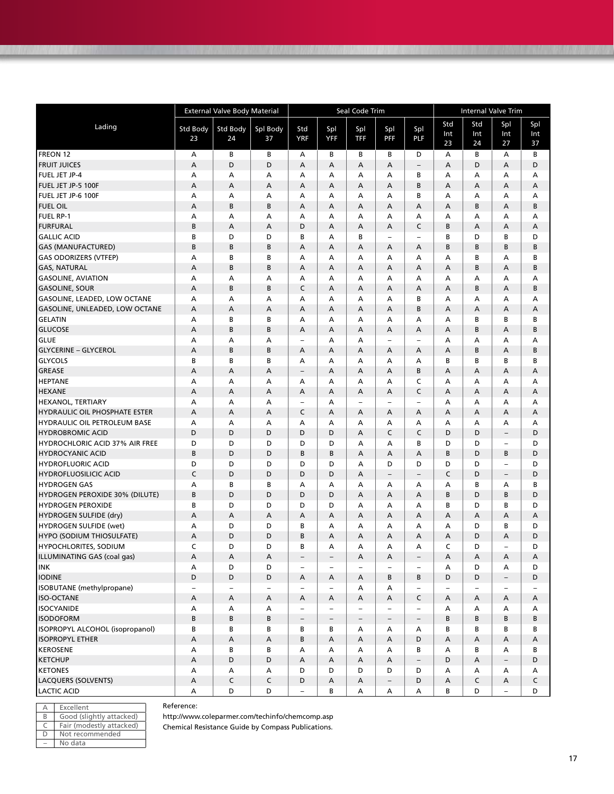|                                   | Seal Code Trim<br><b>External Valve Body Material</b> |                   |                          |                          |                          |                          |                          |                          | <b>Internal Valve Trim</b> |                          |                          |                  |  |
|-----------------------------------|-------------------------------------------------------|-------------------|--------------------------|--------------------------|--------------------------|--------------------------|--------------------------|--------------------------|----------------------------|--------------------------|--------------------------|------------------|--|
| Lading                            | Std Body<br>23                                        | Std Body<br>24    | Spl Body<br>37           | Std<br><b>YRF</b>        | Spl<br><b>YFF</b>        | Spl<br>TFF               | Spl<br><b>PFF</b>        | Spl<br>PLF               | Std<br>Int<br>23           | Std<br>Int<br>24         | Spl<br>Int<br>27         | Spl<br>Int<br>37 |  |
| FREON 12                          | А                                                     | В                 | В                        | А                        | B                        | В                        | B                        | D                        | А                          | В                        | А                        | B                |  |
| <b>FRUIT JUICES</b>               | A                                                     | D                 | D                        | A                        | А                        | А                        | A                        |                          | А                          | D                        | $\overline{A}$           | D                |  |
| <b>FUEL JET JP-4</b>              | А                                                     | А                 | А                        | А                        | А                        | А                        | А                        | В                        | А                          | А                        | Α                        | Α                |  |
| FUEL JET JP-5 100F                | А                                                     | A                 | A                        | А                        | A                        | А                        | A                        | B                        | А                          | А                        | А                        | Α                |  |
| FUEL JET JP-6 100F                | А                                                     | А                 | А                        | А                        | А                        | А                        | А                        | В                        | А                          | А                        | Α                        | Α                |  |
| <b>FUEL OIL</b>                   | Α                                                     | B                 | B                        | A                        | A                        | A                        | A                        | A                        | А                          | B                        | A                        | B                |  |
| <b>FUEL RP-1</b>                  | А                                                     | Α                 | Α                        | A                        | A                        | A                        | A                        | A                        | А                          | А                        | А                        | А                |  |
| <b>FURFURAL</b>                   | B                                                     | A                 | А                        | D                        | A                        | A                        | А                        | C                        | B                          | А                        | А                        | A                |  |
| <b>GALLIC ACID</b>                | B                                                     | D                 | D                        | В                        | A                        | В                        | $\overline{\phantom{0}}$ | ÷                        | B                          | D                        | B                        | D                |  |
| <b>GAS (MANUFACTURED)</b>         | B                                                     | B                 | B                        | A                        | A                        | A                        | A                        | A                        | B                          | B                        | B                        | B                |  |
| <b>GAS ODORIZERS (VTFEP)</b>      | А                                                     | B                 | B                        | А                        | A                        | A                        | А                        | A                        | А                          | В                        | А                        | B                |  |
| <b>GAS, NATURAL</b>               | А                                                     | B                 | B                        | А                        | А                        | А                        | А                        | А                        | А                          | B                        | А                        | B                |  |
| <b>GASOLINE, AVIATION</b>         | А                                                     | A                 | Α                        | А                        | А                        | А                        | A                        | A                        | А                          | А                        | А                        | А                |  |
| <b>GASOLINE, SOUR</b>             | А                                                     | B                 | B                        | C                        | A                        | A                        | A                        | А                        | А                          | B                        | A                        | B                |  |
| GASOLINE, LEADED, LOW OCTANE      | А                                                     | А                 | А                        | A                        | A                        | A                        | А                        | B                        | А                          | Α                        | А                        | A                |  |
| GASOLINE, UNLEADED, LOW OCTANE    | A                                                     | A                 | A                        | A                        | A                        | A                        | A                        | B                        | А                          | Α                        | A                        | A                |  |
| <b>GELATIN</b>                    | A                                                     | B                 | B                        | A                        | A                        | A                        | A                        | A                        | A                          | B                        | B                        | B                |  |
| <b>GLUCOSE</b>                    | A                                                     | B                 | B                        | A                        | A                        | A                        | A                        | А                        | А                          | B                        | A                        | B                |  |
| <b>GLUE</b>                       | А                                                     | A                 | А                        | $\overline{\phantom{0}}$ | А                        | А                        | $\overline{\phantom{0}}$ | ÷                        | А                          | А                        | А                        | А                |  |
| <b>GLYCERINE - GLYCEROL</b>       | А                                                     | B                 | B                        | Α                        | A                        | A                        | А                        | A                        | А                          | B                        | A                        | B                |  |
| <b>GLYCOLS</b>                    | B                                                     | B                 | В                        | Α                        | А                        | А                        | A                        | A                        | В                          | В                        | B                        | B                |  |
| GREASE                            | А                                                     | A                 | A                        | $\overline{\phantom{0}}$ | A                        | A                        | А                        | B                        | А                          | А                        | Α                        | A                |  |
| <b>HEPTANE</b>                    | A                                                     | A                 | А                        | A                        | A                        | $\overline{A}$           | A                        | C                        | A                          | A                        | $\overline{A}$           | A                |  |
| <b>HEXANE</b>                     | A                                                     | A                 | A                        | A                        | A                        | $\overline{A}$           | A                        | C                        | A                          | A                        | A                        | A                |  |
| <b>HEXANOL, TERTIARY</b>          | А                                                     | А                 | А                        | $\qquad \qquad -$        | A                        | $\qquad \qquad -$        | $\overline{\phantom{0}}$ | $\overline{\phantom{0}}$ | А                          | А                        | А                        | А                |  |
| HYDRAULIC OIL PHOSPHATE ESTER     | А                                                     | A                 | A                        | C                        | A                        | Α                        | А                        | А                        | А                          | Α                        | Α                        | А                |  |
| HYDRAULIC OIL PETROLEUM BASE      | Α                                                     | А                 | А                        | Α                        | А                        | Α                        | А                        | А                        | А                          | А                        | А                        | А                |  |
| <b>HYDROBROMIC ACID</b>           | D                                                     | D                 | D                        | D                        | D                        | $\overline{A}$           | $\mathsf C$              | C                        | D                          | D                        | $\qquad \qquad -$        | D                |  |
| HYDROCHLORIC ACID 37% AIR FREE    | D                                                     | D                 | D                        | D                        | D                        | А                        | А                        | B                        | D                          | D                        | $\overline{\phantom{0}}$ | D                |  |
| <b>HYDROCYANIC ACID</b>           | B                                                     | D                 | D                        | B                        | B                        | A                        | A                        | А                        | B                          | D                        | B                        | D                |  |
| <b>HYDROFLUORIC ACID</b>          | D                                                     | D                 | D                        | D                        | D                        | A                        | D                        | D                        | D                          | D                        |                          | D                |  |
| <b>HYDROFLUOSILICIC ACID</b>      | C                                                     | D                 | D                        | D                        | D                        | A                        | $\qquad \qquad -$        | $\overline{\phantom{0}}$ | C                          | D                        | $\qquad \qquad -$        | D                |  |
| <b>HYDROGEN GAS</b>               | А                                                     | B                 | В                        | А                        | А                        | А                        | А                        | А                        | А                          | В                        | А                        | В                |  |
| HYDROGEN PEROXIDE 30% (DILUTE)    | B                                                     | D                 | D                        | D                        | D                        | A                        | A                        | А                        | B                          | D                        | B                        | D                |  |
| <b>HYDROGEN PEROXIDE</b>          | B                                                     | D                 | D                        | D                        | D                        | А                        | А                        | А                        | В                          | D                        | В                        | D                |  |
| HYDROGEN SULFIDE (dry)            | А                                                     | A                 | A                        | А                        | A                        | A                        | A                        | A                        | А                          | А                        | A                        | A                |  |
| HYDROGEN SULFIDE (wet)            | A                                                     | D                 | D                        | в                        | A                        | A                        | A                        | A                        | А                          | D                        | B                        | D                |  |
| <b>HYPO (SODIUM THIOSULFATE)</b>  | A                                                     | D                 | D                        | B                        | A                        | A                        | A                        | A                        | А                          | D                        | A                        | D                |  |
| <b>HYPOCHLORITES, SODIUM</b>      | C                                                     | D                 | D                        | В                        | A                        | A                        | A                        | A                        | C                          | D                        | $\overline{a}$           | D                |  |
| ILLUMINATING GAS (coal gas)       | Α                                                     | Α                 | Α                        | $\overline{\phantom{a}}$ | $\overline{\phantom{a}}$ | Α                        | Α                        | -                        | А                          | Α                        | Α                        | Α                |  |
| <b>INK</b>                        | А                                                     | D                 | D                        | $\overline{\phantom{0}}$ | $\overline{\phantom{0}}$ | $\overline{\phantom{0}}$ | $\qquad \qquad -$        | $\overline{\phantom{0}}$ | А                          | D                        | А                        | D                |  |
| <b>IODINE</b>                     | D                                                     | D                 | D                        | Α                        | Α                        | Α                        | В                        | В                        | D                          | D                        | $\overline{\phantom{0}}$ | D                |  |
| ISOBUTANE (methylpropane)         | -                                                     |                   | $\overline{\phantom{0}}$ | -                        | $\overline{\phantom{a}}$ | Α                        | Α                        |                          | $\overline{\phantom{0}}$   | $\overline{\phantom{0}}$ | $\qquad \qquad -$        |                  |  |
| <b>ISO-OCTANE</b>                 | А                                                     | Α                 | Α                        | Α                        | А                        | Α                        | Α                        | C                        | А                          | Α                        | Α                        | A                |  |
| <b>ISOCYANIDE</b>                 | Α                                                     | Α                 | Α                        | -                        | $\overline{\phantom{a}}$ | $\overline{\phantom{0}}$ | $\qquad \qquad -$        | $\overline{\phantom{0}}$ | Α                          | Α                        | Α                        | А                |  |
| <b>ISODOFORM</b>                  | B                                                     | B                 | В                        | $\overline{\phantom{0}}$ | $\overline{\phantom{a}}$ | $\overline{\phantom{0}}$ | $\qquad \qquad -$        | $\overline{\phantom{0}}$ | В                          | В                        | B                        | В                |  |
| ISOPROPYL ALCOHOL (isopropanol)   | В                                                     | В                 | в                        | В<br>B                   | В                        | Α                        | А                        | Α                        | В                          | В                        | В                        | В                |  |
| <b>ISOPROPYL ETHER</b>            | А                                                     | А                 | A                        |                          | A                        | A                        | А                        | D                        | А                          | Α                        | A                        | Α                |  |
| <b>KEROSENE</b><br><b>KETCHUP</b> | А                                                     | B<br>D            | В                        | А                        | А                        | А                        | Α                        | В                        | А                          | В                        | Α                        | в                |  |
| <b>KETONES</b>                    | A                                                     |                   | D                        | A                        | А<br>D                   | A                        | A                        |                          | D                          | А                        | $\overline{a}$           | D                |  |
| LACQUERS (SOLVENTS)               | А<br>A                                                | А<br>$\mathsf{C}$ | А<br>C                   | D<br>D                   | A                        | D<br>A                   | D                        | D<br>D                   | А<br>A                     | А<br>C                   | Α<br>A                   | А<br>C           |  |
| <b>LACTIC ACID</b>                |                                                       |                   |                          | $\overline{\phantom{0}}$ |                          |                          |                          |                          |                            | D                        | $\overline{\phantom{0}}$ | D                |  |
|                                   | А                                                     | D                 | D                        |                          | В                        | А                        | Α                        | А                        | В                          |                          |                          |                  |  |

| А | Excellent                |
|---|--------------------------|
| B | Good (slightly attacked) |
| C | Fair (modestly attacked) |
| D | Not recommended          |
|   | No data                  |

Reference:

http://www.coleparmer.com/techinfo/chemcomp.asp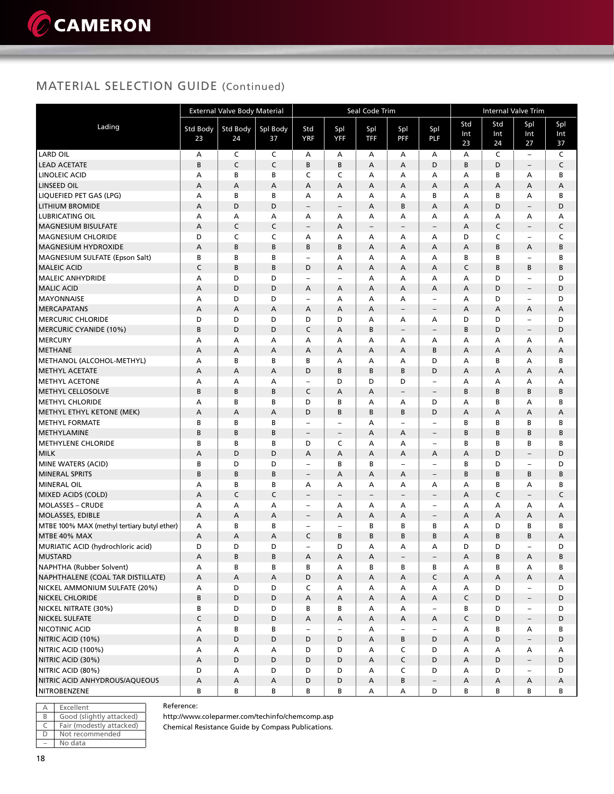### MATERIAL SELECTION GUIDE (Continued)

|                                             |                 | <b>External Valve Body Material</b> |          |                          |                          | Seal Code Trim    |                          |                          | <b>Internal Valve Trim</b> |        |                          |              |  |
|---------------------------------------------|-----------------|-------------------------------------|----------|--------------------------|--------------------------|-------------------|--------------------------|--------------------------|----------------------------|--------|--------------------------|--------------|--|
| Lading                                      | <b>Std Body</b> | Std Body                            | Spl Body | Std                      |                          |                   |                          | Spl                      | Std                        | Std    | Spl                      | Spl          |  |
|                                             | 23              | 24                                  | 37       | <b>YRF</b>               | Spl<br><b>YFF</b>        | Spl<br><b>TFF</b> | Spl<br><b>PFF</b>        | <b>PLF</b>               | Int                        | Int    | Int                      | Int          |  |
|                                             |                 |                                     |          |                          |                          |                   |                          |                          | 23                         | 24     | 27                       | 37           |  |
| <b>LARD OIL</b>                             | Α               | C                                   | C        | А                        | А                        | А                 | A                        | А                        | A                          | C      | $\overline{\phantom{a}}$ | C            |  |
| <b>LEAD ACETATE</b>                         | B               | C                                   | C        | B                        | B                        | A                 | А                        | D                        | B                          | D      | $\qquad \qquad -$        | C            |  |
| LINOLEIC ACID                               | А               | B                                   | B        | C                        | C                        | А                 | A                        | А                        | А                          | B      | А                        | B            |  |
| <b>LINSEED OIL</b>                          | A               | А                                   | A        | A                        | А                        | A                 | А                        | Α                        | Α                          | А      | А                        | А            |  |
| LIQUEFIED PET GAS (LPG)                     | А               | B                                   | B        | A                        | А                        | А                 | A                        | B                        | А                          | B      | А                        | B            |  |
| <b>LITHIUM BROMIDE</b>                      | A               | D                                   | D        | $\overline{\phantom{0}}$ | $\qquad \qquad -$        | A                 | В                        | Α                        | A                          | D      | $\qquad \qquad -$        | D            |  |
| <b>LUBRICATING OIL</b>                      | А               | А                                   | А        | A                        | А                        | Α                 | A                        | A                        | А                          | А      | А                        | А            |  |
| <b>MAGNESIUM BISULFATE</b>                  | A               | $\mathsf{C}$                        | C        | $\overline{\phantom{a}}$ | А                        | $\qquad \qquad -$ | $\overline{\phantom{0}}$ | $\qquad \qquad -$        | A                          | C      | $\qquad \qquad -$        | $\mathsf C$  |  |
| <b>MAGNESIUM CHLORIDE</b>                   | D               | C                                   | C        | А                        | А                        | А                 | А                        | Α                        | D                          | C      | $\qquad \qquad -$        | C            |  |
| <b>MAGNESIUM HYDROXIDE</b>                  | A               | B                                   | B        | B                        | B                        | A                 | А                        | Α                        | A                          | B      | Α                        | B            |  |
| <b>MAGNESIUM SULFATE (Epson Salt)</b>       | B               | B                                   | В        | ÷                        | А                        | А                 | А                        | Α                        | B                          | В      | $\overline{\phantom{0}}$ | B            |  |
| <b>MALEIC ACID</b>                          | C               | B                                   | B        | D                        | А                        | A                 | A                        | Α                        | C                          | B      | B                        | B            |  |
| <b>MALEIC ANHYDRIDE</b>                     | А               | D                                   | D        |                          | $\qquad \qquad -$        | А                 | A                        | Α                        | A                          | D      | $\qquad \qquad -$        | D            |  |
| <b>MALIC ACID</b>                           | A               | D                                   | D        | А                        | A                        | A                 | A                        | A                        | $\overline{A}$             | D      | $\overline{\phantom{a}}$ | D            |  |
| <b>MAYONNAISE</b>                           | А               | D                                   | D        | -                        | A                        | A                 | А                        | $\qquad \qquad -$        | A                          | D      | $\qquad \qquad -$        | D            |  |
| <b>MERCAPATANS</b>                          | A               | А                                   | A        | A                        | А                        | A                 | $\qquad \qquad -$        | $\overline{\phantom{a}}$ | A                          | А      | Α                        | А            |  |
| <b>MERCURIC CHLORIDE</b>                    | D               | D                                   | D        | D                        | D                        | А                 | A                        | А                        | D                          | D      | $\overline{\phantom{0}}$ | D            |  |
| MERCURIC CYANIDE (10%)                      | B               | D                                   | D        | C                        | А                        | B                 | $\overline{\phantom{0}}$ | $\qquad \qquad -$        | B                          | D      | $\overline{\phantom{a}}$ | D            |  |
| <b>MERCURY</b>                              | А               | А                                   | А        | A                        | А                        | А                 | А                        | Α<br>B                   | А                          | А      | А                        | А            |  |
| METHANE<br>METHANOL (ALCOHOL-METHYL)        | A<br>А          | A<br>B                              | A<br>B   | A<br>B                   | А<br>A                   | А<br>А            | А<br>A                   | D                        | A<br>$\overline{A}$        | А<br>B | Α<br>A                   | Α<br>B       |  |
| <b>METHYL ACETATE</b>                       | A               | A                                   | A        | D                        | B                        | B                 | B                        | D                        | A                          | А      | A                        | А            |  |
| <b>METHYL ACETONE</b>                       | А               | А                                   | А        | ۰                        | D                        | D                 | D                        | $\overline{\phantom{a}}$ | А                          | А      | А                        | А            |  |
| <b>METHYL CELLOSOLVE</b>                    | B               | B                                   | B        | C                        | A                        | A                 | $\overline{\phantom{0}}$ | $\qquad \qquad -$        | B                          | B      | B                        | B            |  |
| <b>METHYL CHLORIDE</b>                      | А               | В                                   | В        | D                        | В                        | А                 | А                        | D                        | А                          | В      | А                        | В            |  |
| METHYL ETHYL KETONE (MEK)                   | A               | A                                   | A        | D                        | B                        | B                 | B                        | D                        | A                          | А      | А                        | А            |  |
| <b>METHYL FORMATE</b>                       | B               | B                                   | B        |                          | ÷,                       | А                 | $\overline{\phantom{0}}$ | $\overline{\phantom{a}}$ | B                          | B      | В                        | B            |  |
| <b>METHYLAMINE</b>                          | B               | B                                   | B        | $\overline{\phantom{a}}$ | $\overline{\phantom{a}}$ | А                 | A                        | $\overline{\phantom{a}}$ | B                          | B      | B                        | B            |  |
| <b>METHYLENE CHLORIDE</b>                   | B               | B                                   | B        | D                        | C                        | A                 | A                        | $\qquad \qquad -$        | B                          | B      | В                        | B            |  |
| MILK                                        | A               | D                                   | D        | A                        | А                        | A                 | А                        | Α                        | A                          | D      | $\overline{\phantom{a}}$ | D            |  |
| MINE WATERS (ACID)                          | B               | D                                   | D        | ۳                        | В                        | В                 | $\overline{a}$           | ÷,                       | B                          | D      | $\qquad \qquad -$        | D            |  |
| <b>MINERAL SPRITS</b>                       | B               | B                                   | B        | $\overline{\phantom{a}}$ | А                        | A                 | А                        | $\overline{\phantom{a}}$ | B                          | B      | В                        | B            |  |
| <b>MINERAL OIL</b>                          | А               | B                                   | В        | А                        | А                        | А                 | А                        | А                        | А                          | В      | А                        | B            |  |
| MIXED ACIDS (COLD)                          | A               | C                                   | C        | $\overline{\phantom{0}}$ | $\qquad \qquad -$        | $\qquad \qquad -$ | $\overline{\phantom{0}}$ | $\overline{\phantom{a}}$ | А                          | C      | $\qquad \qquad -$        | $\mathsf{C}$ |  |
| <b>MOLASSES - CRUDE</b>                     | А               | А                                   | А        | ÷                        | А                        | Α                 | A                        | $\overline{\phantom{a}}$ | Α                          | А      | Α                        | А            |  |
| MOLASSES, EDIBLE                            | A               | A                                   | A        | $\overline{\phantom{0}}$ | А                        | A                 | A                        | $\qquad \qquad -$        | A                          | А      | Α                        | А            |  |
| MTBE 100% MAX (methyl tertiary butyl ether) | А               | B                                   | В        | ÷                        | $\qquad \qquad -$        | В                 | B                        | В                        | А                          | D      | В                        | В            |  |
| MTBE 40% MAX                                | A               | A                                   | A        | C                        | B                        | B                 | B                        | B                        | A                          | B      | B                        | Α            |  |
| MURIATIC ACID (hydrochloric acid)           | D               | D                                   | D        | ÷                        | D                        | А                 | A                        | A                        | D                          | D      | L.                       | D            |  |
| <b>MUSTARD</b>                              | Α               | B                                   | В        | Α                        | А                        | Α                 | -                        | $\overline{\phantom{a}}$ | Α                          | В      | Α                        | В            |  |
| NAPHTHA (Rubber Solvent)                    | Α               | В                                   | В        | В                        | Α                        | В                 | В                        | В                        | Α                          | в      | Α                        | В            |  |
| NAPHTHALENE (COAL TAR DISTILLATE)           | A               | A                                   | Α        | D                        | А                        | А                 | A                        | $\mathsf{C}$             | A                          | Α      | A                        | A            |  |
| NICKEL AMMONIUM SULFATE (20%)               | А               | D                                   | D        | C                        | Α                        | А                 | А                        | А                        | А                          | D      | $\overline{\phantom{a}}$ | D            |  |
| <b>NICKEL CHLORIDE</b>                      | B               | D                                   | D        | Α                        | А                        | А                 | A                        | Α                        | C                          | D      | $\qquad \qquad -$        | D            |  |
| NICKEL NITRATE (30%)                        | В               | D                                   | D        | В                        | В                        | А                 | A                        | $\overline{\phantom{a}}$ | в                          | D      | $\overline{\phantom{a}}$ | D            |  |
| <b>NICKEL SULFATE</b>                       | $\mathsf C$     | $\mathsf D$                         | D        | Α                        | А                        | А                 | A                        | Α                        | C                          | D      | $\overline{\phantom{a}}$ | D            |  |
| NICOTINIC ACID                              | Α               | В                                   | В        | $\qquad \qquad -$        | $\qquad \qquad -$        | А                 | $\overline{\phantom{0}}$ | $\overline{\phantom{a}}$ | Α                          | В      | Α                        | В            |  |
| NITRIC ACID (10%)                           | A               | D                                   | D        | D                        | D                        | А                 | В                        | D                        | A                          | D      | $\overline{\phantom{a}}$ | D            |  |
| NITRIC ACID (100%)                          | Α               | Α                                   | Α        | D                        | D                        | А                 | C                        | D                        | Α                          | А      | Α                        | A            |  |
| NITRIC ACID (30%)                           | A               | D                                   | D        | D                        | D                        | А                 | C                        | D                        | A                          | D      | $\overline{\phantom{a}}$ | D            |  |
| NITRIC ACID (80%)                           | D               | Α                                   | D        | D                        | D                        | А                 | C                        | D                        | А                          | D      | $\overline{\phantom{a}}$ | D            |  |
| NITRIC ACID ANHYDROUS/AQUEOUS               | A               | A                                   | A        | D                        | D                        | А                 | В                        | $\overline{\phantom{m}}$ | A                          | А      | Α                        | Α            |  |
| NITROBENZENE                                | В               | В                                   | В        | В                        | В                        | Α                 | A                        | D                        | В                          | В      | в                        | В            |  |

|   | Excellent                |
|---|--------------------------|
| R | Good (slightly attacked) |
|   | Fair (modestly attacked) |
|   | Not recommended          |
|   | No data                  |

Reference:

http://www.coleparmer.com/techinfo/chemcomp.asp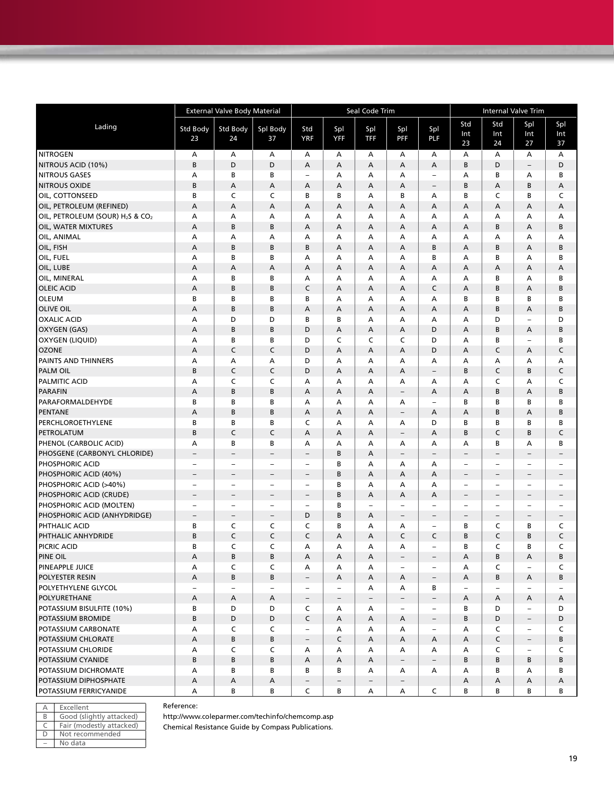|                                                          | <b>External Valve Body Material</b> |                          |                          |                          |                          | Seal Code Trim           |                          | <b>Internal Valve Trim</b> |                          |        |                          |                          |
|----------------------------------------------------------|-------------------------------------|--------------------------|--------------------------|--------------------------|--------------------------|--------------------------|--------------------------|----------------------------|--------------------------|--------|--------------------------|--------------------------|
| Lading                                                   |                                     |                          |                          | Std                      |                          |                          |                          |                            | Std                      | Std    | Spl                      | Spl                      |
|                                                          | Std Body<br>23                      | Std Body<br>24           | Spl Body<br>37           | <b>YRF</b>               | Spl<br>YFF               | Spl<br><b>TFF</b>        | Spl<br><b>PFF</b>        | Spl<br>PLF                 | Int                      | Int    | Int                      | Int                      |
|                                                          |                                     |                          |                          |                          |                          |                          |                          |                            | 23                       | 24     | 27                       | 37                       |
| <b>NITROGEN</b>                                          | А                                   | Α                        | А                        | Α                        | А                        | А                        | А                        | Α                          | А                        | А      | А                        | Α                        |
| NITROUS ACID (10%)                                       | B                                   | D                        | D                        | A                        | А                        | А                        | A                        | А                          | B                        | D      | $\overline{\phantom{a}}$ | D                        |
| <b>NITROUS GASES</b>                                     | А                                   | B                        | B                        | $\overline{\phantom{0}}$ | А                        | А                        | А                        | ÷                          | А                        | B      | А                        | В                        |
| <b>NITROUS OXIDE</b>                                     | B                                   | A                        | Α                        | A                        | А                        | Α                        | Α                        | $\overline{\phantom{0}}$   | B                        | A      | B                        | Α                        |
| OIL, COTTONSEED                                          | В                                   | C                        | C                        | B                        | B                        | А                        | В                        | A                          | В                        | C      | B                        | C                        |
| OIL, PETROLEUM (REFINED)                                 | Α                                   | Α                        | Α                        | A                        | Α                        | Α                        | Α                        | А                          | А                        | A      | А                        | Α                        |
| OIL, PETROLEUM (SOUR) H <sub>2</sub> S & CO <sub>2</sub> | А                                   | А                        | А                        | А                        | А                        | А                        | А                        | A                          | А                        | А      | А                        | Α                        |
| OIL, WATER MIXTURES                                      | A                                   | B                        | B                        | A                        | А                        | Α                        | A                        | Α                          | А                        | B      | A                        | B                        |
| OIL, ANIMAL                                              | А                                   | А                        | Α                        | А                        | А                        | А                        | А                        | А                          | А                        | А      | А                        | Α                        |
| OIL, FISH                                                | А                                   | B                        | B                        | B                        | А                        | А                        | A                        | B                          | А                        | B      | А                        | B                        |
| OIL, FUEL                                                | А                                   | B                        | В                        | А                        | А                        | А                        | А                        | В                          | А                        | В      | А                        | B                        |
| OIL, LUBE                                                | А                                   | A                        | А                        | A                        | А                        | А                        | Α                        | А                          | А                        | A      | А                        | Α                        |
| OIL, MINERAL                                             | А                                   | B                        | В                        | А                        | А                        | Α                        | А                        | А                          | А                        | B      | А                        | В                        |
| <b>OLEIC ACID</b>                                        | А                                   | B                        | B                        | $\mathsf C$              | A                        | Α                        | А                        | C                          | A                        | B      | А                        | B                        |
| <b>OLEUM</b>                                             | В                                   | B                        | В                        | В                        | A                        | А                        | А                        | A                          | В                        | B      | B                        | B                        |
| <b>OLIVE OIL</b>                                         | А                                   | В                        | B                        | A                        | А                        | А                        | А                        | А                          | А                        | B      | А                        | B                        |
| <b>OXALIC ACID</b>                                       | А                                   | D                        | D                        | B                        | B                        | А                        | А                        | А                          | А                        | D      | $\overline{\phantom{0}}$ | D                        |
| <b>OXYGEN (GAS)</b>                                      | A                                   | В                        | B                        | D                        | Α                        | Α                        | A                        | D                          | А                        | B      | А                        | B                        |
| OXYGEN (LIQUID)                                          | А                                   | B                        | В<br>$\mathsf C$         | D                        | C                        | C                        | C                        | D                          | А                        | B      | $\overline{\phantom{a}}$ | в                        |
| <b>OZONE</b><br><b>PAINTS AND THINNERS</b>               | A<br>А                              | C<br>А                   | А                        | D<br>D                   | Α<br>А                   | Α<br>А                   | Α<br>А                   | D                          | А<br>А                   | C<br>А | А<br>А                   | C                        |
| <b>PALM OIL</b>                                          | B                                   | C                        | $\mathsf C$              | D                        |                          |                          | A                        | Α                          | B                        | C      | B                        | Α<br>C                   |
| <b>PALMITIC ACID</b>                                     | А                                   | C                        | C                        | А                        | А<br>А                   | A<br>А                   | А                        | $\qquad \qquad -$<br>Α     | А                        | C      | А                        | C                        |
| <b>PARAFIN</b>                                           | А                                   | B                        | B                        | A                        | А                        | A                        |                          | Α                          | А                        | B      | A                        | B                        |
| PARAFORMALDEHYDE                                         | В                                   | В                        | B                        | А                        | А                        | А                        | $\qquad \qquad -$<br>А   | ÷                          | В                        | В      | В                        | B                        |
| <b>PENTANE</b>                                           | A                                   | B                        | B                        | A                        | А                        | A                        | $\qquad \qquad -$        | A                          | А                        | B      | А                        | B                        |
| PERCHLOROETHYLENE                                        | В                                   | В                        | B                        | C                        | А                        | Α                        | А                        | D                          | в                        | B      | В                        | В                        |
| PETROLATUM                                               | B                                   | C                        | $\mathsf C$              | A                        | А                        | А                        | $\overline{\phantom{a}}$ | A                          | B                        | C      | B                        | $\mathsf C$              |
| PHENOL (CARBOLIC ACID)                                   | А                                   | B                        | В                        | A                        | А                        | А                        | А                        | А                          | А                        | В      | A                        | B                        |
| PHOSGENE (CARBONYL CHLORIDE)                             | $\overline{\phantom{a}}$            | $\qquad \qquad -$        | $\qquad \qquad -$        | $\qquad \qquad -$        | B                        | А                        | $\overline{\phantom{a}}$ | $\overline{\phantom{0}}$   | $\overline{\phantom{a}}$ | -      | $\qquad \qquad -$        | $\overline{\phantom{0}}$ |
| PHOSPHORIC ACID                                          | $\overline{\phantom{a}}$            | $\overline{\phantom{0}}$ | $\qquad \qquad -$        | $\overline{a}$           | B                        | А                        | А                        | Α                          | $\overline{\phantom{a}}$ | -      | $\overline{\phantom{0}}$ | $\overline{\phantom{0}}$ |
| PHOSPHORIC ACID (40%)                                    | $\overline{\phantom{a}}$            | $\qquad \qquad -$        | $\qquad \qquad -$        | $\qquad \qquad -$        | B                        | Α                        | Α                        | А                          | $\overline{\phantom{a}}$ | -      | $\qquad \qquad -$        | $\qquad \qquad -$        |
| PHOSPHORIC ACID (>40%)                                   | $\overline{\phantom{a}}$            | $\qquad \qquad -$        | $\overline{\phantom{0}}$ | $\qquad \qquad -$        | В                        | Α                        | А                        | А                          | $\overline{\phantom{a}}$ | ÷,     | $\overline{\phantom{a}}$ | $\overline{\phantom{0}}$ |
| PHOSPHORIC ACID (CRUDE)                                  | $\qquad \qquad -$                   | $\overline{\phantom{0}}$ | $\overline{\phantom{0}}$ | $\qquad \qquad -$        | В                        | Α                        | Α                        | А                          | $\overline{\phantom{a}}$ | -      | $\qquad \qquad -$        | $\overline{\phantom{0}}$ |
| PHOSPHORIC ACID (MOLTEN)                                 | $\overline{\phantom{a}}$            | $\overline{\phantom{0}}$ | $\qquad \qquad -$        | $\overline{\phantom{a}}$ | B                        | -                        | $\qquad \qquad -$        | ÷                          | $\overline{\phantom{a}}$ | ÷,     | $\qquad \qquad -$        | ÷,                       |
| PHOSPHORIC ACID (ANHYDRIDGE)                             | $\qquad \qquad -$                   | $\qquad \qquad -$        | $\qquad \qquad -$        | D                        | B                        | Α                        | $\qquad \qquad -$        | $\qquad \qquad -$          | $\overline{\phantom{a}}$ | -      | $\qquad \qquad -$        | $\qquad \qquad -$        |
| PHTHALIC ACID                                            | В                                   | C                        | C                        | C                        | B                        | А                        | А                        | $\overline{a}$             | в                        | C      | В                        | C                        |
| PHTHALIC ANHYDRIDE                                       | B                                   | C                        | $\mathsf C$              | C                        | А                        | A                        | C                        | C                          | B                        | C      | B                        | C                        |
| PICRIC ACID                                              | B                                   | $\mathsf{C}$             | C                        | А                        | А                        | А                        | А                        | $\overline{\phantom{0}}$   | В                        | C      | B                        | C                        |
| PINE OIL                                                 | Α                                   | B                        | В                        | A                        | Α                        | A                        | $\overline{\phantom{m}}$ | $\overline{\phantom{0}}$   | Α                        | В      | Α                        | В                        |
| PINEAPPLE JUICE                                          | А                                   | C                        | C                        | A                        | Α                        | А                        | $\overline{\phantom{0}}$ | $\overline{\phantom{0}}$   | А                        | C      | $\qquad \qquad -$        | C                        |
| <b>POLYESTER RESIN</b>                                   | А                                   | B                        | B                        | $-$                      | A                        | A                        | A                        | $\overline{\phantom{a}}$   | A                        | В      | Α                        | B                        |
| POLYETHYLENE GLYCOL                                      | $\overline{\phantom{a}}$            | $\overline{\phantom{a}}$ | $\overline{\phantom{a}}$ | $\overline{\phantom{a}}$ | $\overline{\phantom{a}}$ | А                        | А                        | В                          | $\overline{\phantom{a}}$ | ÷,     | $\overline{\phantom{0}}$ | $\qquad \qquad -$        |
| POLYURETHANE                                             | А                                   | A                        | Α                        | $\overline{\phantom{a}}$ | -                        | $\overline{\phantom{a}}$ | $\overline{\phantom{a}}$ | $\overline{\phantom{0}}$   | А                        | Α      | А                        | A                        |
| POTASSIUM BISULFITE (10%)                                | В                                   | D                        | D                        | C                        | А                        | А                        | $\qquad \qquad -$        | $\overline{\phantom{a}}$   | В                        | D      | $\overline{\phantom{a}}$ | D                        |
| POTASSIUM BROMIDE                                        | B                                   | D                        | D                        | $\mathsf{C}$             | Α                        | Α                        | Α                        | $\overline{\phantom{a}}$   | B                        | D      | $\overline{\phantom{a}}$ | D                        |
| POTASSIUM CARBONATE                                      | А                                   | C                        | C                        | $\overline{\phantom{a}}$ | А                        | А                        | Α                        | $\overline{\phantom{a}}$   | А                        | C      | $\overline{\phantom{a}}$ | C                        |
| POTASSIUM CHLORATE                                       | А                                   | B                        | В                        | $\overline{\phantom{a}}$ | C                        | Α                        | Α                        | Α                          | Α                        | C      | $\overline{\phantom{a}}$ | В                        |
| POTASSIUM CHLORIDE                                       | Α                                   | C                        | C                        | A                        | A                        | А                        | A                        | A                          | А                        | C      | $\overline{\phantom{0}}$ | C                        |
| POTASSIUM CYANIDE                                        | B                                   | B                        | B                        | A                        | Α                        | Α                        | $\overline{\phantom{a}}$ | $\qquad \qquad -$          | B                        | В      | В                        | В                        |
| POTASSIUM DICHROMATE                                     | А                                   | B                        | B                        | B                        | В                        | А                        | A                        | A                          | А                        | В      | А                        | B                        |
| POTASSIUM DIPHOSPHATE                                    | Α                                   | A                        | A                        | $\overline{\phantom{a}}$ | $\qquad \qquad -$        | $\overline{\phantom{a}}$ | $\overline{\phantom{a}}$ |                            | A                        | A      | А                        | A                        |
| POTASSIUM FERRICYANIDE                                   | А                                   | B                        | В                        | C                        | B                        | Α                        | А                        | C                          | В                        | В      | В                        | В                        |

| А | Excellent                |
|---|--------------------------|
| B | Good (slightly attacked) |
| C | Fair (modestly attacked) |
| Ð | Not recommended          |
|   | No data                  |

Reference:

http://www.coleparmer.com/techinfo/chemcomp.asp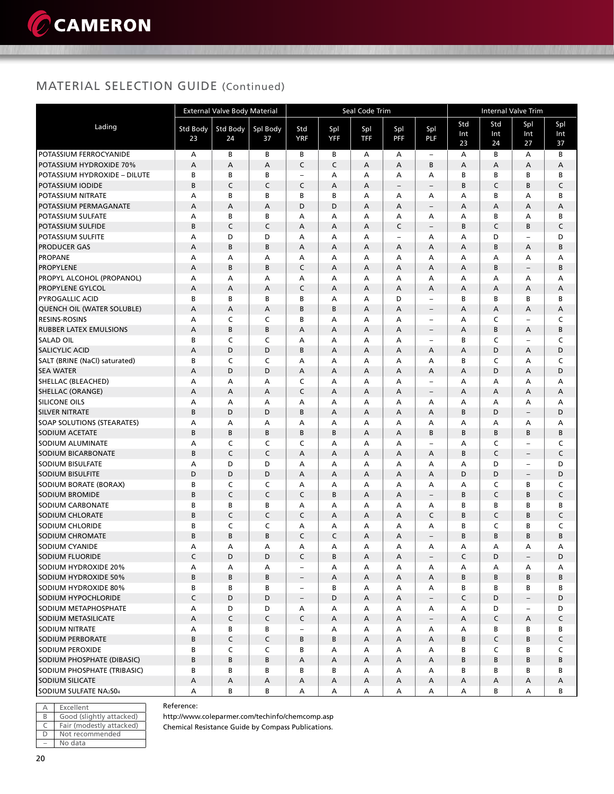### MATERIAL SELECTION GUIDE (Continued)

|                                               | <b>External Valve Body Material</b> |              |             |                          |                | Seal Code Trim |                               | Internal Valve Trim      |             |              |                               |             |
|-----------------------------------------------|-------------------------------------|--------------|-------------|--------------------------|----------------|----------------|-------------------------------|--------------------------|-------------|--------------|-------------------------------|-------------|
| Lading                                        | <b>Std Body</b>                     | Std Body     | Spl Body    | Std                      | Spl            | Spl            | Spl                           | Spl                      | Std         | Std          | Spl                           | Spl         |
|                                               | 23                                  | 24           | 37          | <b>YRF</b>               | <b>YFF</b>     | <b>TFF</b>     | <b>PFF</b>                    | PLF                      | Int         | Int          | Int                           | Int         |
|                                               |                                     |              |             |                          |                |                |                               |                          | 23          | 24           | 27                            | 37          |
| POTASSIUM FERROCYANIDE                        | А                                   | В            | В           | В                        | В              | А              | А                             | $\overline{\phantom{m}}$ | А           | В            | А                             | В           |
| POTASSIUM HYDROXIDE 70%                       | A                                   | А            | Α           | C                        | $\mathsf C$    | A              | A                             | B                        | А           | А            | А                             | А           |
| POTASSIUM HYDROXIDE - DILUTE                  | В                                   | B            | B           | $\qquad \qquad -$        | А              | A              | А                             | A                        | B           | B            | В                             | В           |
| POTASSIUM IODIDE                              | B                                   | C            | C           | C                        | A              | A              | $\overline{\phantom{a}}$      | $\overline{\phantom{a}}$ | B           | C            | B                             | $\mathsf C$ |
| POTASSIUM NITRATE                             | A                                   | B            | B           | B                        | B              | A              | А                             | А                        | A           | B            | А                             | B           |
| POTASSIUM PERMAGANATE                         | A                                   | А            | A<br>B      | D                        | D              | A              | A                             | $\qquad \qquad -$        | A           | А            | A                             | A           |
| POTASSIUM SULFATE                             | А                                   | В            |             | А                        | А              | А              | А                             | А                        | A<br>B      | B            | А                             | B           |
| <b>POTASSIUM SULFIDE</b><br>POTASSIUM SULFITE | B<br>А                              | C<br>D       | C<br>D      | Α<br>Α                   | A<br>А         | A<br>A         | C<br>$\overline{\phantom{a}}$ | $\qquad \qquad -$<br>А   | А           | C<br>D       | B<br>$\overline{\phantom{a}}$ | C<br>D      |
| <b>PRODUCER GAS</b>                           | А                                   | B            | B           | A                        | A              | A              | A                             | A                        | А           | B            | А                             | B           |
| <b>PROPANE</b>                                | А                                   | А            | Α           | А                        | A              | А              | А                             | А                        | А           | А            | А                             | А           |
| <b>PROPYLENE</b>                              | A                                   | B            | B           | C                        | A              | A              | A                             | A                        | A           | B            | $\overline{\phantom{a}}$      | B           |
| PROPYL ALCOHOL (PROPANOL)                     | А                                   | A            | А           | A                        | A              | A              | Α                             | A                        | A           | A            | А                             | А           |
| <b>PROPYLENE GYLCOL</b>                       | Α                                   | А            | A           | C                        | A              | A              | Α                             | A                        | A           | А            | А                             | А           |
| <b>PYROGALLIC ACID</b>                        | B                                   | В            | B           | B                        | A              | А              | D                             | $\overline{\phantom{a}}$ | B           | B            | В                             | В           |
| QUENCH OIL (WATER SOLUBLE)                    | A                                   | А            | Α           | B                        | B              | A              | Α                             | $\qquad \qquad -$        | А           | Α            | Α                             | Α           |
| <b>RESINS-ROSINS</b>                          | А                                   | C            | C           | B                        | A              | А              | А                             | $\equiv$                 | A           | $\mathsf{C}$ | $\overline{\phantom{a}}$      | C           |
| <b>RUBBER LATEX EMULSIONS</b>                 | Α                                   | B            | B           | Α                        | $\overline{A}$ | A              | Α                             | $\qquad \qquad -$        | А           | B            | А                             | B           |
| <b>SALAD OIL</b>                              | B                                   | C            | C           | A                        | A              | A              | Α                             | $\overline{\phantom{0}}$ | B           | C            | $\overline{\phantom{a}}$      | C           |
| <b>SALICYLIC ACID</b>                         | A                                   | D            | D           | B                        | A              | A              | A                             | A                        | А           | D            | А                             | D           |
| SALT (BRINE (NaCl) saturated)                 | В                                   | C            | C           | А                        | A              | А              | А                             | А                        | В           | C            | А                             | C           |
| <b>SEA WATER</b>                              | А                                   | D            | D           | Α                        | A              | A              | A                             | A                        | А           | D            | A                             | D           |
| SHELLAC (BLEACHED)                            | А                                   | А            | А           | C                        | А              | A              | А                             | $\equiv$                 | А           | А            | А                             | А           |
| <b>SHELLAC (ORANGE)</b>                       | А                                   | A            | Α           | C                        | A              | A              | A                             | $\overline{\phantom{a}}$ | А           | A            | А                             | A           |
| <b>SILICONE OILS</b>                          | А                                   | А            | А           | А                        | A              | А              | А                             | А                        | А           | A            | Α                             | Α           |
| <b>SILVER NITRATE</b>                         | B                                   | D            | D           | B                        | A              | A              | A                             | A                        | B           | D            | $\overline{\phantom{a}}$      | D           |
| <b>SOAP SOLUTIONS (STEARATES)</b>             | A                                   | A            | A           | A                        | A              | A              | А                             | A                        | A           | A            | А                             | А           |
| <b>SODIUM ACETATE</b>                         | B                                   | B            | B           | В                        | B              | A              | Α                             | B                        | B           | B            | B                             | B           |
| SODIUM ALUMINATE                              | А                                   | C            | C           | C                        | A              | А              | А                             | $\qquad \qquad -$        | A           | C            | $\overline{\phantom{a}}$      | C           |
| SODIUM BICARBONATE                            | B                                   | $\mathsf{C}$ | C           | А                        | A              | А              | A                             | A                        | В           | C            | $\overline{\phantom{m}}$      | C           |
| <b>SODIUM BISULFATE</b>                       | А                                   | D            | D           | А                        | А              | А              | А                             | А                        | А           | D            | $\overline{\phantom{m}}$      | D           |
| <b>SODIUM BISULFITE</b>                       | D                                   | D            | D           | Α                        | A              | A              | A                             | A                        | D           | D            | $\overline{\phantom{a}}$      | D           |
| SODIUM BORATE (BORAX)                         | B                                   | C            | C           | A                        | A              | А              | А                             | А                        | А           | C            | в                             | C           |
| <b>SODIUM BROMIDE</b>                         | B                                   | $\mathsf{C}$ | C           | C                        | B              | A              | A                             | $\qquad \qquad -$        | B           | $\mathsf{C}$ | B                             | $\mathsf C$ |
| SODIUM CARBONATE                              | B                                   | B            | B           | A                        | A              | A              | А                             | А                        | B           | B            | В                             | В           |
| SODIUM CHLORATE                               | B                                   | C            | C           | C                        | A              | A              | A                             | $\mathsf{C}$             | В           | C            | B                             | C           |
| <b>SODIUM CHLORIDE</b>                        | B                                   | C            | C           | Α                        | А              | A              | А                             | А                        | В           | C            | В                             | C           |
| <b>SODIUM CHROMATE</b>                        | B                                   | B            | B           | C                        | C              | A              | A                             | $\overline{\phantom{m}}$ | В           | B            | B                             | B           |
| <b>SODIUM CYANIDE</b>                         | А                                   | А            | А           | A                        | A              | А              | A                             | А                        | A           | А            | А                             | А           |
| SODIUM FLUORIDE                               | C                                   | D            | D           | C                        | В              | Α              | A                             | $\overline{\phantom{a}}$ | $\mathsf C$ | D            | $\overline{\phantom{a}}$      | D           |
| SODIUM HYDROXIDE 20%                          | A                                   | А            | А           | $\overline{\phantom{0}}$ | А              | А              | А                             | А                        | А           | А            | А                             | А           |
| SODIUM HYDROXIDE 50%                          | B                                   | B            | B           | $\overline{\phantom{a}}$ | A              | Α              | A                             | A                        | B           | B            | В                             | B           |
| SODIUM HYDROXIDE 80%                          | В                                   | В            | В           | $\overline{\phantom{a}}$ | В              | Α              | Α                             | А                        | В           | B            | в                             | В           |
| <b>SODIUM HYPOCHLORIDE</b>                    | C                                   | D            | D           | $\overline{\phantom{0}}$ | D              | Α              | Α                             | $\overline{\phantom{a}}$ | C           | D            | $\overline{\phantom{a}}$      | D           |
| SODIUM METAPHOSPHATE                          | A                                   | D            | D           | Α                        | Α              | А              | Α                             | Α                        | А           | D            | $\overline{\phantom{a}}$      | D           |
| SODIUM METASILICATE                           | A                                   | $\mathsf C$  | C           | $\mathsf{C}$             | A              | Α              | Α                             | $\overline{\phantom{m}}$ | А           | $\mathsf C$  | Α                             | $\mathsf C$ |
| <b>SODIUM NITRATE</b>                         | Α                                   | В            | В           | $\overline{\phantom{0}}$ | А              | А              | Α                             | Α                        | А           | B            | в                             | B           |
| <b>SODIUM PERBORATE</b>                       | В                                   | $\mathsf C$  | C           | В                        | B              | Α              | Α                             | Α                        | B           | C            | B                             | $\mathsf C$ |
| SODIUM PEROXIDE                               | В                                   | C            | C           | В                        | А              | Α              | Α                             | А                        | В           | C            | в                             | C           |
| SODIUM PHOSPHATE (DIBASIC)                    | B                                   | B            | В           | Α                        | A              | Α              | A                             | А                        | B           | B            | B                             | B           |
| SODIUM PHOSPHATE (TRIBASIC)                   | В                                   | В            | В           | В                        | В              | Α              | Α                             | А                        | В           | В            | в                             | В           |
| SODIUM SILICATE                               | A                                   | А            | $\mathsf A$ | А                        | A              | Α              | A                             | A                        | А           | Α            | А                             | Α           |
| SODIUM SULFATE NA2S04                         | А                                   | В            | В           | А                        | А              | А              | А                             | А                        | A           | В            | А                             | В           |

| А | Excellent                |
|---|--------------------------|
| R | Good (slightly attacked) |
|   | Fair (modestly attacked) |
| D | Not recommended          |
|   | No data                  |

Reference:

http://www.coleparmer.com/techinfo/chemcomp.asp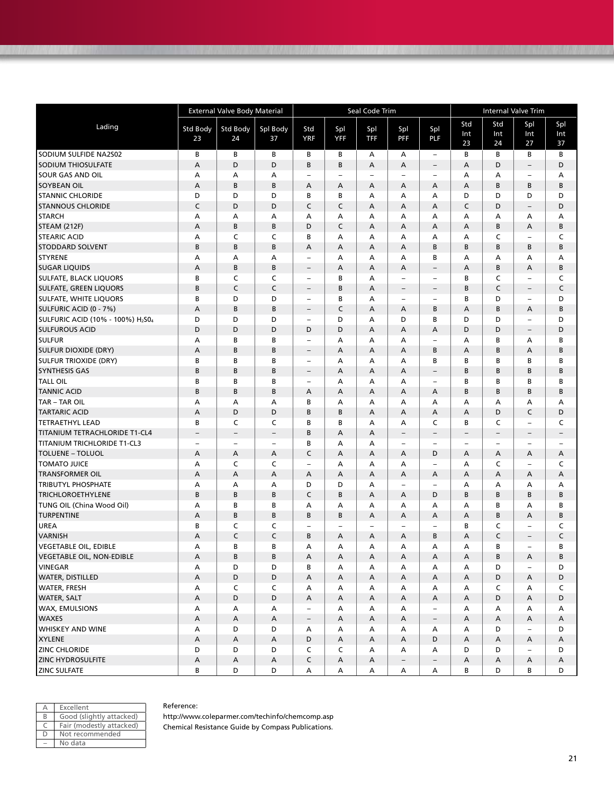|                                                           | <b>External Valve Body Material</b> |                          |                          |                          |                          | Seal Code Trim            |                          | <b>Internal Valve Trim</b> |                          |                          |                          |                          |
|-----------------------------------------------------------|-------------------------------------|--------------------------|--------------------------|--------------------------|--------------------------|---------------------------|--------------------------|----------------------------|--------------------------|--------------------------|--------------------------|--------------------------|
| Lading                                                    | Std Body                            | Std Body                 | Spl Body                 | Std                      | Spl                      | Spl                       | Spl                      | Spl                        | Std                      | Std                      | Spl                      | Spl                      |
|                                                           | 23                                  | 24                       | 37                       | <b>YRF</b>               | <b>YFF</b>               | TFF                       | <b>PFF</b>               | <b>PLF</b>                 | Int                      | Int                      | Int                      | Int                      |
|                                                           |                                     |                          |                          |                          |                          |                           |                          |                            | 23                       | 24                       | 27                       | 37                       |
| SODIUM SULFIDE NA2S02                                     | В                                   | В                        | В                        | В                        | в                        | А                         | А                        | $\overline{\phantom{m}}$   | В                        | В                        | В                        | В                        |
| <b>SODIUM THIOSULFATE</b>                                 | А                                   | D                        | D                        | B                        | B                        | A                         | А                        | $\overline{\phantom{a}}$   | A                        | D                        | $\overline{\phantom{a}}$ | D                        |
| <b>SOUR GAS AND OIL</b>                                   | А                                   | А                        | А                        | Ē,                       | $\overline{\phantom{a}}$ | $\overline{\phantom{0}}$  | $\overline{\phantom{a}}$ | $\equiv$                   | А                        | А                        | $\overline{\phantom{0}}$ | А                        |
| <b>SOYBEAN OIL</b>                                        | Α                                   | B                        | B                        | Α                        | Α                        | A                         | А                        | A                          | A                        | В                        | В                        | B                        |
| <b>STANNIC CHLORIDE</b>                                   | D                                   | D                        | D                        | B                        | В                        | А                         | A                        | A                          | D                        | D                        | D                        | D                        |
| <b>STANNOUS CHLORIDE</b>                                  | C                                   | D                        | D                        | C                        | C                        | A                         | A                        | A                          | C                        | D                        | $\overline{\phantom{a}}$ | D                        |
| <b>STARCH</b>                                             | Α                                   | А                        | А                        | А                        | А                        | А                         | А                        | А                          | А                        | А                        | Α                        | А                        |
| <b>STEAM (212F)</b>                                       | Α                                   | B                        | B                        | D                        | C                        | A                         | А                        | A                          | $\overline{A}$           | B                        | Α                        | B                        |
| <b>STEARIC ACID</b>                                       | А                                   | C                        | C                        | B                        | А                        | Α                         | А                        | А                          | А                        | C                        | $\overline{\phantom{0}}$ | C                        |
| <b>STODDARD SOLVENT</b>                                   | B                                   | B                        | B                        | A                        | A                        | A                         | А                        | B                          | B                        | B                        | B                        | B                        |
| <b>STYRENE</b>                                            | А                                   | A                        | А                        | Ē,                       | А                        | А                         | А                        | B                          | А                        | А                        | А                        | А                        |
| <b>SUGAR LIQUIDS</b>                                      | Α                                   | B                        | B                        | -                        | А                        | A                         | А                        | $\overline{\phantom{a}}$   | A                        | B                        | Α                        | B                        |
| <b>SULFATE, BLACK LIQUORS</b>                             | В                                   | C                        | C                        | $\overline{a}$           | В                        | A                         | -                        | $\overline{\phantom{0}}$   | B                        | C                        | $\overline{\phantom{0}}$ | C                        |
| <b>SULFATE, GREEN LIQUORS</b>                             | B                                   | $\mathsf{C}$             | $\mathsf{C}$             | -                        | B                        | A                         | $\overline{\phantom{a}}$ | $\overline{\phantom{a}}$   | B                        | C                        | $\overline{\phantom{a}}$ | C                        |
| <b>SULFATE, WHITE LIQUORS</b>                             | В                                   | D                        | D                        | L.                       | В                        | A                         | $\overline{\phantom{a}}$ | $\overline{\phantom{a}}$   | B                        | D                        | $\qquad \qquad -$        | D                        |
| SULFURIC ACID (0 - 7%)                                    | Α                                   | B                        | B                        | -                        | $\mathsf C$              | A                         | А                        | B                          | Α                        | В                        | Α                        | B                        |
| SULFURIC ACID (10% - 100%) H <sub>2</sub> S0 <sub>4</sub> | D                                   | D                        | D                        | L.                       | D                        | А                         | D                        | B                          | D                        | D                        | $\overline{\phantom{0}}$ | D                        |
| <b>SULFUROUS ACID</b>                                     | D                                   | D                        | D                        | D                        | D                        | A                         | А                        | A                          | D                        | D                        | $\overline{\phantom{a}}$ | D                        |
| <b>SULFUR</b>                                             | Α                                   | В                        | В                        | $\overline{\phantom{0}}$ | А                        | А                         | A                        | $\overline{\phantom{a}}$   | А                        | B                        | А                        | В                        |
| <b>SULFUR DIOXIDE (DRY)</b>                               | Α                                   | B                        | B                        | $\overline{\phantom{0}}$ | A                        | A                         | A                        | B                          | A                        | B                        | Α                        | B                        |
| <b>SULFUR TRIOXIDE (DRY)</b>                              | В                                   | В                        | В                        | -                        | А                        | А                         | А                        | В                          | B                        | В                        | В                        | В                        |
| <b>SYNTHESIS GAS</b>                                      | B                                   | B                        | B                        | $\overline{\phantom{0}}$ | А                        | A                         | А                        | $\overline{\phantom{a}}$   | B                        | В                        | B                        | B                        |
| <b>TALL OIL</b>                                           | В                                   | B                        | В                        | L.                       | А                        | Α                         | А                        | $\overline{\phantom{0}}$   | В                        | В                        | В                        | В                        |
| <b>TANNIC ACID</b>                                        | B                                   | B                        | B                        | А                        | A                        | A                         | А                        | A                          | B                        | B                        | B                        | B                        |
| <b>TAR - TAR OIL</b>                                      | А                                   | А                        | А                        | B                        | А                        | А                         | A                        | A                          | А                        | А                        | А                        | А                        |
| <b>TARTARIC ACID</b>                                      | Α                                   | D                        | D                        | B                        | B                        | A                         | А                        | A                          | A                        | D                        | C                        | D                        |
| <b>TETRAETHYL LEAD</b>                                    | В                                   | C                        | C                        | B                        | В                        | A                         | A                        | C                          | B                        | C                        | $\overline{\phantom{0}}$ | C                        |
| <b>TITANIUM TETRACHLORIDE T1-CL4</b>                      | $\overline{\phantom{a}}$            | $\overline{\phantom{a}}$ | $\overline{\phantom{a}}$ | B                        | A                        | A                         | $\overline{\phantom{a}}$ | $\overline{\phantom{a}}$   | $\qquad \qquad -$        | $\overline{\phantom{0}}$ | $\overline{\phantom{a}}$ | $\overline{\phantom{a}}$ |
| <b>TITANIUM TRICHLORIDE T1-CL3</b>                        | $\overline{\phantom{0}}$            | $\overline{\phantom{a}}$ | $\overline{\phantom{0}}$ | B                        | А                        | А                         | $\overline{\phantom{a}}$ | $\overline{\phantom{a}}$   | $\overline{\phantom{0}}$ | ۳                        | $\overline{\phantom{a}}$ | $\overline{\phantom{a}}$ |
| <b>TOLUENE - TOLUOL</b>                                   | Α                                   | Α                        | А                        | C                        | А                        | A                         | А                        | D                          | Α                        | А                        | Α                        | Α                        |
| <b>TOMATO JUICE</b>                                       | А                                   | $\mathsf C$              | C                        | $\overline{\phantom{0}}$ | А                        | А                         | A                        | $\sim$                     | А                        | C                        | $\overline{\phantom{0}}$ | C                        |
| <b>TRANSFORMER OIL</b>                                    | Α                                   | A                        | А                        | A                        | A                        | A                         | А                        | A                          | A                        | А                        | A                        | Α                        |
| <b>TRIBUTYL PHOSPHATE</b>                                 | Α                                   | А                        | А                        | D                        | D                        | А                         | $\overline{\phantom{a}}$ | $\overline{\phantom{a}}$   | А                        | А                        | А                        | А                        |
| <b>TRICHLOROETHYLENE</b>                                  | B                                   | B                        | B                        | C                        | B                        | A                         | A                        | D                          | B                        | B                        | B                        | B                        |
| TUNG OIL (China Wood Oil)                                 | А                                   | В                        | B                        | A                        | А                        | А                         | A                        | А                          | А                        | B                        | Α                        | В                        |
| <b>TURPENTINE</b>                                         | А                                   | B                        | B                        | B                        | B                        | A                         | А                        | A                          | $\overline{A}$           | В                        | Α                        | B                        |
| <b>UREA</b>                                               | В                                   | C                        | C                        | ÷                        | $\overline{\phantom{a}}$ | ÷,                        | $\overline{\phantom{a}}$ | $\overline{\phantom{0}}$   | В                        | C                        | $\overline{\phantom{0}}$ | C                        |
| <b>VARNISH</b>                                            | А                                   | $\mathsf C$              | C                        | B                        | А                        | A                         | А                        | B                          | Α                        | C                        | $\overline{\phantom{0}}$ | $\mathsf C$              |
| <b>VEGETABLE OIL, EDIBLE</b>                              | А                                   | B                        | B                        | А                        | A                        | А                         | A                        | A                          | А                        | B                        | $\overline{\phantom{0}}$ | B                        |
| <b>VEGETABLE OIL, NON-EDIBLE</b>                          | Α                                   | B                        | B                        | A                        | Α                        | Α                         | Α                        | A                          | A                        | B                        | A                        | B                        |
| VINEGAR                                                   | А                                   | D                        | D                        | В                        | А                        | А                         | А                        | А                          | A                        | D                        | $\overline{\phantom{0}}$ | D                        |
| <b>WATER, DISTILLED</b>                                   | A                                   | D                        | D                        | A                        | A                        | A                         | A                        | A                          | A                        | D                        | A                        | D                        |
| <b>WATER, FRESH</b>                                       | А                                   | C                        | C                        | Α                        | А                        | А                         | А                        | A                          | A                        | C                        | Α                        | C                        |
| <b>WATER, SALT</b>                                        | Α                                   | D                        | D                        | Α                        | А                        | Α                         | A                        | A                          | A                        | D                        | A                        | D                        |
| WAX, EMULSIONS                                            | А                                   | А                        | A                        | ÷                        | А                        | Α                         | A                        | $\overline{\phantom{a}}$   | Α                        | А                        | А                        | Α                        |
| <b>WAXES</b>                                              | А                                   | $\mathsf A$              | A                        | $\overline{\phantom{a}}$ | А                        | А                         | A                        | $\overline{\phantom{m}}$   | A                        | Α                        | A                        | A                        |
| <b>WHISKEY AND WINE</b>                                   | А                                   | D                        | D                        | А                        | А                        | Α                         | А                        | A                          | Α                        | D                        | $\overline{\phantom{a}}$ | D                        |
| <b>XYLENE</b>                                             | А                                   | А                        | A                        | D                        | А                        | Α                         | A                        | D                          | A                        | А                        | Α                        | Α                        |
| <b>ZINC CHLORIDE</b>                                      | D                                   | D                        | D                        | C                        | C                        | Α                         | А                        | А                          | D                        | D                        | -                        | D                        |
| <b>ZINC HYDROSULFITE</b>                                  | А                                   | А                        | A                        | C                        | А                        | $\boldsymbol{\mathsf{A}}$ | $-$                      | $\overline{\phantom{m}}$   | A                        | Α                        | Α                        | А                        |
| <b>ZINC SULFATE</b>                                       | В                                   | D                        | D                        | Α                        | Α                        | Α                         | A                        | Α                          | В                        | D                        | В                        | D                        |

|   | Excellent                |
|---|--------------------------|
| R | Good (slightly attacked) |
|   | Fair (modestly attacked) |
|   | Not recommended          |
|   | No data                  |

#### Reference:

http://www.coleparmer.com/techinfo/chemcomp.asp Chemical Resistance Guide by Compass Publications.